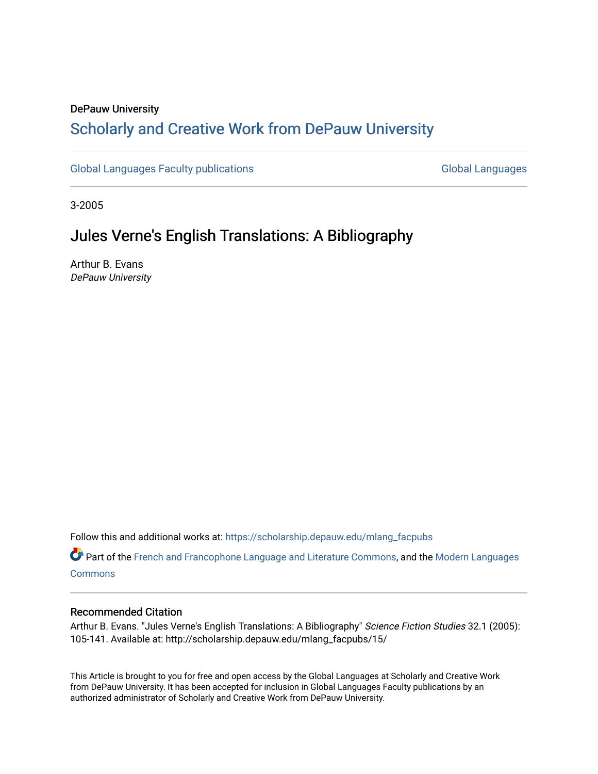# DePauw University

# Scholarly and [Creative Work from DePauw Univ](https://scholarship.depauw.edu/)ersity

[Global Languages Faculty publications](https://scholarship.depauw.edu/mlang_facpubs) [Global Languages](https://scholarship.depauw.edu/modernlanguages) Global Languages

3-2005

# Jules Verne's English Translations: A Bibliography

Arthur B. Evans DePauw University

Follow this and additional works at: [https://scholarship.depauw.edu/mlang\\_facpubs](https://scholarship.depauw.edu/mlang_facpubs?utm_source=scholarship.depauw.edu%2Fmlang_facpubs%2F15&utm_medium=PDF&utm_campaign=PDFCoverPages)

Part of the [French and Francophone Language and Literature Commons,](https://network.bepress.com/hgg/discipline/463?utm_source=scholarship.depauw.edu%2Fmlang_facpubs%2F15&utm_medium=PDF&utm_campaign=PDFCoverPages) and the [Modern Languages](https://network.bepress.com/hgg/discipline/1130?utm_source=scholarship.depauw.edu%2Fmlang_facpubs%2F15&utm_medium=PDF&utm_campaign=PDFCoverPages)  **[Commons](https://network.bepress.com/hgg/discipline/1130?utm_source=scholarship.depauw.edu%2Fmlang_facpubs%2F15&utm_medium=PDF&utm_campaign=PDFCoverPages)** 

# Recommended Citation

Arthur B. Evans. "Jules Verne's English Translations: A Bibliography" Science Fiction Studies 32.1 (2005): 105-141. Available at: http://scholarship.depauw.edu/mlang\_facpubs/15/

This Article is brought to you for free and open access by the Global Languages at Scholarly and Creative Work from DePauw University. It has been accepted for inclusion in Global Languages Faculty publications by an authorized administrator of Scholarly and Creative Work from DePauw University.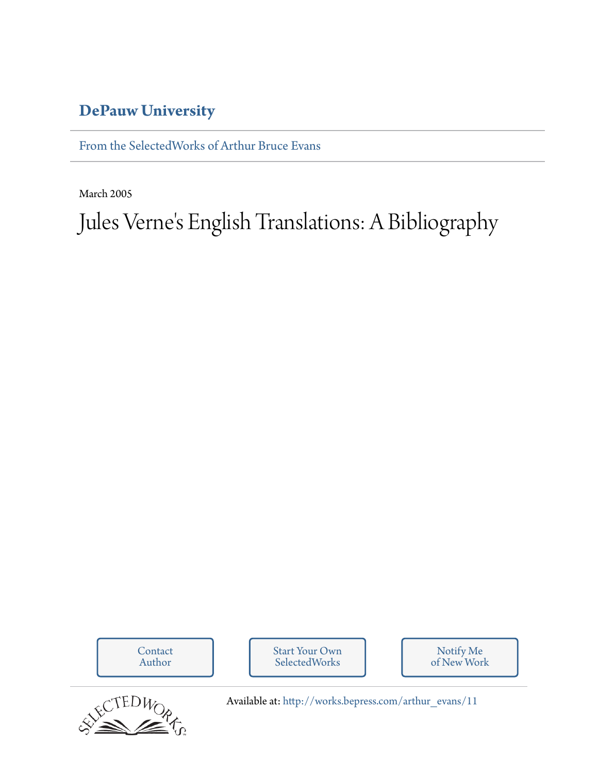# **[DePauw University](http://depauw.edu)**

[From the SelectedWorks of Arthur Bruce Evans](http://works.bepress.com/arthur_evans)

March 2005

Jules Verne 's English Translations: A Bibliography

[Contact](http://works.bepress.com/arthur_evans/contact.html) [Start Your Own](http://works.bepress.com/cgi/sw_user_setup.cgi) Notify Me [of New Work](http://works.bepress.com/arthur_evans) Author SelectedWorks FCTEDWOR Available at: [http://works.bepress.com/arthur\\_evans/11](http://works.bepress.com/arthur_evans/11)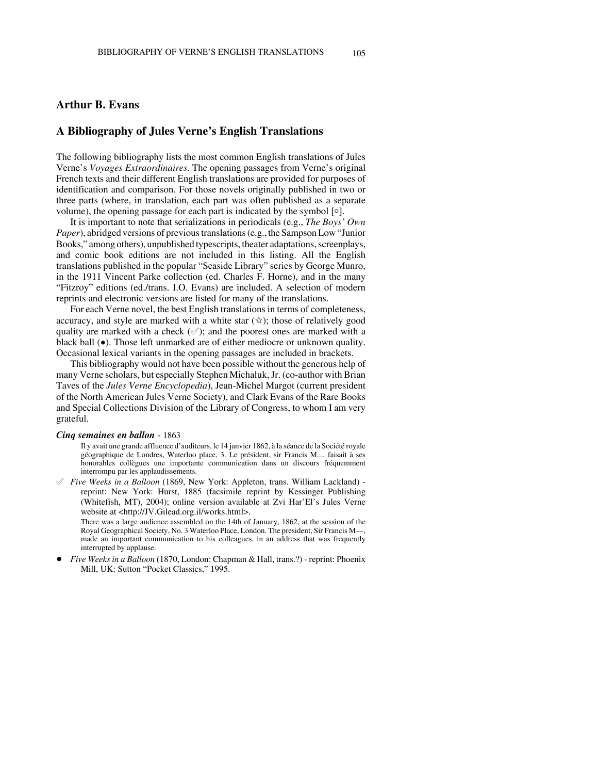# **Arthur B. Evans**

# **A Bibliography of Jules Verne's English Translations**

The following bibliography lists the most common English translations of Jules Verne's *Voyages Extraordinaires*. The opening passages from Verne's original French texts and their different English translations are provided for purposes of identification and comparison. For those novels originally published in two or three parts (where, in translation, each part was often published as a separate volume), the opening passage for each part is indicated by the symbol  $\lceil \circ \rceil$ .

It is important to note that serializations in periodicals (e.g., *The Boys' Own Paper*), abridged versions of previous translations (e.g., the Sampson Low "Junior Books," among others), unpublished typescripts, theater adaptations, screenplays, and comic book editions are not included in this listing. All the English translations published in the popular "Seaside Library" series by George Munro, in the 1911 Vincent Parke collection (ed. Charles F. Horne), and in the many "Fitzroy" editions (ed./trans. I.O. Evans) are included. A selection of modern reprints and electronic versions are listed for many of the translations.

For each Verne novel, the best English translations in terms of completeness, accuracy, and style are marked with a white star  $(\hat{\mathbf{x}})$ ; those of relatively good quality are marked with a check  $(\mathcal{O})$ ; and the poorest ones are marked with a black ball ( $\bullet$ ). Those left unmarked are of either mediocre or unknown quality. Occasional lexical variants in the opening passages are included in brackets.

This bibliography would not have been possible without the generous help of many Verne scholars, but especially Stephen Michaluk, Jr. (co-author with Brian Taves of the *Jules Verne Encyclopedia*), Jean-Michel Margot (current president of the North American Jules Verne Society), and Clark Evans of the Rare Books and Special Collections Division of the Library of Congress, to whom I am very grateful.

#### *Cinq semaines en ballon* - 1863

Il y avait une grande affluence d'auditeurs, le 14 janvier 1862, à la séance de la Société royale géographique de Londres, Waterloo place, 3. Le président, sir Francis M..., faisait à ses honorables collègues une importante communication dans un discours fréquemment interrompu par les applaudissements.

° *Five Weeks in a Balloon* (1869, New York: Appleton, trans. William Lackland) reprint: New York: Hurst, 1885 (facsimile reprint by Kessinger Publishing (Whitefish, MT), 2004); online version available at Zvi Har'El's Jules Verne website at <http://JV.Gilead.org.il/works.html>.

There was a large audience assembled on the 14th of January, 1862, at the session of the Royal Geographical Society, No. 3 Waterloo Place, London. The president, Sir Francis M—, made an important communication to his colleagues, in an address that was frequently interrupted by applause.

! *Five Weeks in a Balloon* (1870, London: Chapman & Hall, trans.?) - reprint: Phoenix Mill, UK: Sutton "Pocket Classics," 1995.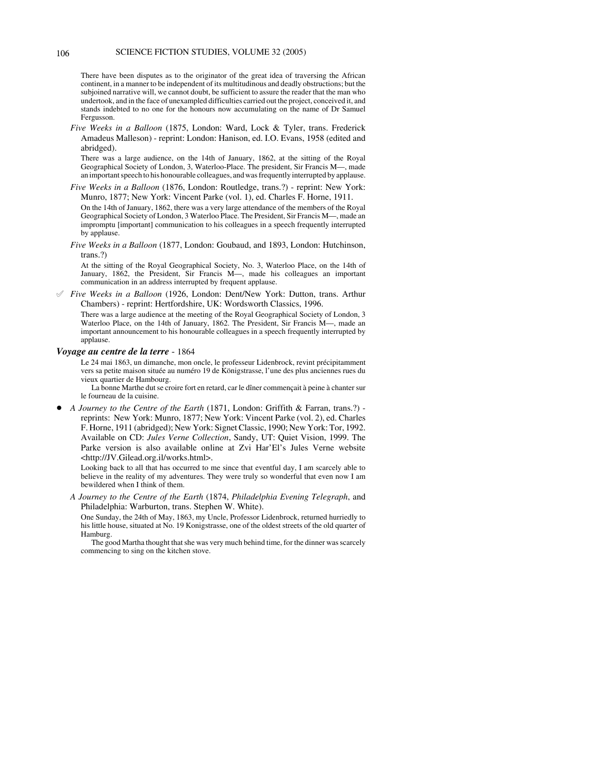There have been disputes as to the originator of the great idea of traversing the African continent, in a manner to be independent of its multitudinous and deadly obstructions; but the subjoined narrative will, we cannot doubt, be sufficient to assure the reader that the man who undertook, and in the face of unexampled difficulties carried out the project, conceived it, and stands indebted to no one for the honours now accumulating on the name of Dr Samuel Fergusson.

*Five Weeks in a Balloon* (1875, London: Ward, Lock & Tyler, trans. Frederick Amadeus Malleson) - reprint: London: Hanison, ed. I.O. Evans, 1958 (edited and abridged).

There was a large audience, on the 14th of January, 1862, at the sitting of the Royal Geographical Society of London, 3, Waterloo-Place. The president, Sir Francis M—, made an important speech to his honourable colleagues, and was frequently interrupted by applause.

*Five Weeks in a Balloon* (1876, London: Routledge, trans.?) - reprint: New York: Munro, 1877; New York: Vincent Parke (vol. 1), ed. Charles F. Horne, 1911. On the 14th of January, 1862, there was a very large attendance of the members of the Royal Geographical Society of London, 3 Waterloo Place. The President, Sir Francis M—, made an impromptu [important] communication to his colleagues in a speech frequently interrupted by applause.

*Five Weeks in a Balloon* (1877, London: Goubaud, and 1893, London: Hutchinson, trans.?)

At the sitting of the Royal Geographical Society, No. 3, Waterloo Place, on the 14th of January, 1862, the President, Sir Francis M—, made his colleagues an important communication in an address interrupted by frequent applause.

° *Five Weeks in a Balloon* (1926, London: Dent/New York: Dutton, trans. Arthur Chambers) - reprint: Hertfordshire, UK: Wordsworth Classics, 1996.

There was a large audience at the meeting of the Royal Geographical Society of London, 3 Waterloo Place, on the 14th of January, 1862. The President, Sir Francis M—, made an important announcement to his honourable colleagues in a speech frequently interrupted by applause.

# *Voyage au centre de la terre* - 1864

Le 24 mai 1863, un dimanche, mon oncle, le professeur Lidenbrock, revint précipitamment vers sa petite maison située au numéro 19 de Königstrasse, l'une des plus anciennes rues du vieux quartier de Hambourg.

La bonne Marthe dut se croire fort en retard, car le dîner commençait à peine à chanter sur le fourneau de la cuisine.

! *A Journey to the Centre of the Earth* (1871, London: Griffith & Farran, trans.?) reprints: New York: Munro, 1877; New York: Vincent Parke (vol. 2), ed. Charles F. Horne, 1911 (abridged); New York: Signet Classic, 1990; New York: Tor, 1992. Available on CD: *Jules Verne Collection*, Sandy, UT: Quiet Vision, 1999. The Parke version is also available online at Zvi Har'El's Jules Verne website <http://JV.Gilead.org.il/works.html>.

Looking back to all that has occurred to me since that eventful day, I am scarcely able to believe in the reality of my adventures. They were truly so wonderful that even now I am bewildered when I think of them.

*A Journey to the Centre of the Earth* (1874, *Philadelphia Evening Telegraph*, and Philadelphia: Warburton, trans. Stephen W. White).

One Sunday, the 24th of May, 1863, my Uncle, Professor Lidenbrock, returned hurriedly to his little house, situated at No. 19 Konigstrasse, one of the oldest streets of the old quarter of Hamburg.

The good Martha thought that she was very much behind time, for the dinner was scarcely commencing to sing on the kitchen stove.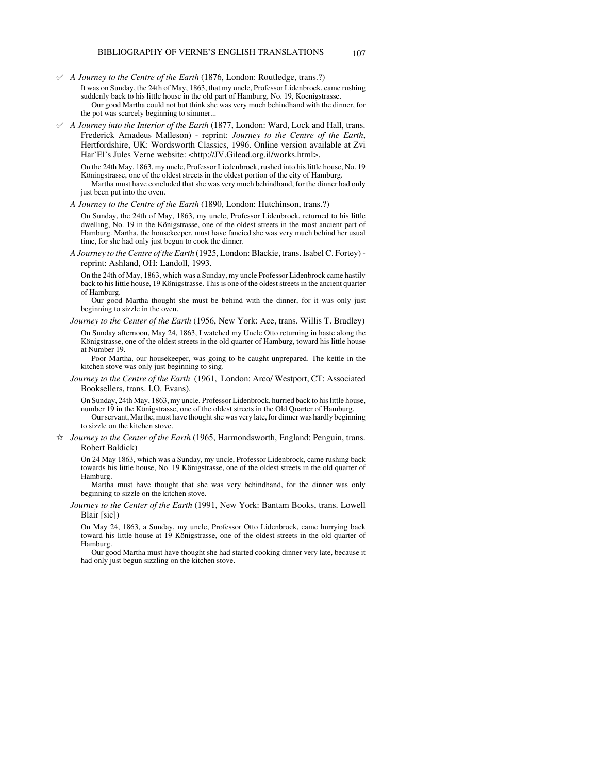° *A Journey to the Centre of the Earth* (1876, London: Routledge, trans.?)

- It was on Sunday, the 24th of May, 1863, that my uncle, Professor Lidenbrock, came rushing suddenly back to his little house in the old part of Hamburg, No. 19, Koenigstrasse. Our good Martha could not but think she was very much behindhand with the dinner, for the pot was scarcely beginning to simmer...
- ° *A Journey into the Interior of the Earth* (1877, London: Ward, Lock and Hall, trans. Frederick Amadeus Malleson) - reprint: *Journey to the Centre of the Earth*, Hertfordshire, UK: Wordsworth Classics, 1996. Online version available at Zvi Har'El's Jules Verne website: <http://JV.Gilead.org.il/works.html>.

On the 24th May, 1863, my uncle, Professor Liedenbrock, rushed into his little house, No. 19 Köningstrasse, one of the oldest streets in the oldest portion of the city of Hamburg. Martha must have concluded that she was very much behindhand, for the dinner had only just been put into the oven.

*A Journey to the Centre of the Earth* (1890, London: Hutchinson, trans.?)

On Sunday, the 24th of May, 1863, my uncle, Professor Lidenbrock, returned to his little dwelling, No. 19 in the Königstrasse, one of the oldest streets in the most ancient part of Hamburg. Martha, the housekeeper, must have fancied she was very much behind her usual time, for she had only just begun to cook the dinner.

*A Journey to the Centre of the Earth* (1925, London: Blackie, trans. Isabel C. Fortey) reprint: Ashland, OH: Landoll, 1993.

On the 24th of May, 1863, which was a Sunday, my uncle Professor Lidenbrock came hastily back to his little house, 19 Königstrasse. This is one of the oldest streets in the ancient quarter of Hamburg.

Our good Martha thought she must be behind with the dinner, for it was only just beginning to sizzle in the oven.

*Journey to the Center of the Earth* (1956, New York: Ace, trans. Willis T. Bradley)

On Sunday afternoon, May 24, 1863, I watched my Uncle Otto returning in haste along the Königstrasse, one of the oldest streets in the old quarter of Hamburg, toward his little house at Number 19.

Poor Martha, our housekeeper, was going to be caught unprepared. The kettle in the kitchen stove was only just beginning to sing.

*Journey to the Centre of the Earth* (1961, London: Arco/ Westport, CT: Associated Booksellers, trans. I.O. Evans).

On Sunday, 24th May, 1863, my uncle, Professor Lidenbrock, hurried back to his little house, number 19 in the Königstrasse, one of the oldest streets in the Old Quarter of Hamburg. Our servant, Marthe, must have thought she was very late, for dinner was hardly beginning to sizzle on the kitchen stove.

 $\dot{\varphi}$  *Journey to the Center of the Earth* (1965, Harmondsworth, England: Penguin, trans. Robert Baldick)

On 24 May 1863, which was a Sunday, my uncle, Professor Lidenbrock, came rushing back towards his little house, No. 19 Königstrasse, one of the oldest streets in the old quarter of Hamburg.

Martha must have thought that she was very behindhand, for the dinner was only beginning to sizzle on the kitchen stove.

*Journey to the Center of the Earth* (1991, New York: Bantam Books, trans. Lowell Blair [sic])

On May 24, 1863, a Sunday, my uncle, Professor Otto Lidenbrock, came hurrying back toward his little house at 19 Königstrasse, one of the oldest streets in the old quarter of Hamburg.

Our good Martha must have thought she had started cooking dinner very late, because it had only just begun sizzling on the kitchen stove.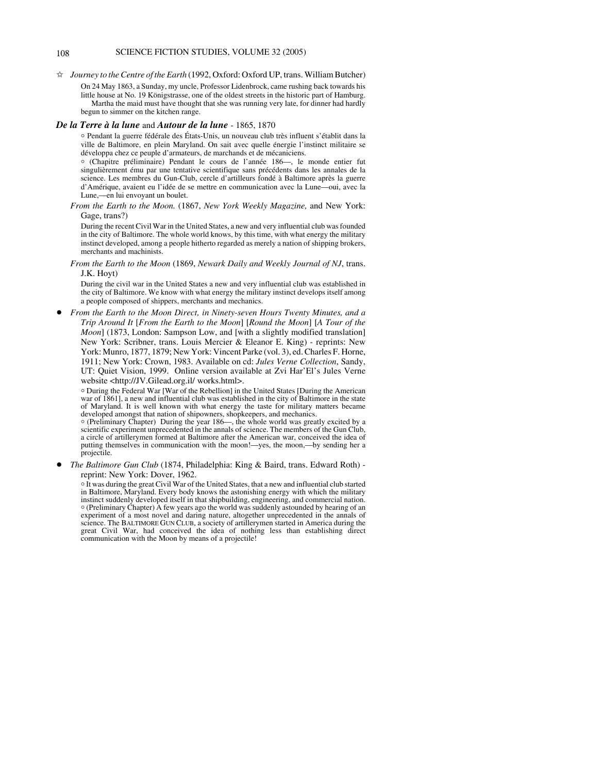# 108 SCIENCE FICTION STUDIES, VOLUME 32 (2005)

 $\dot{\varphi}$  *Journey to the Centre of the Earth* (1992, Oxford: Oxford UP, trans. William Butcher)

On 24 May 1863, a Sunday, my uncle, Professor Lidenbrock, came rushing back towards his little house at No. 19 Königstrasse, one of the oldest streets in the historic part of Hamburg. Martha the maid must have thought that she was running very late, for dinner had hardly begun to simmer on the kitchen range.

#### *De la Terre à la lune* and *Autour de la lune* - 1865, 1870

N Pendant la guerre fédérale des États-Unis, un nouveau club très influent s'établit dans la ville de Baltimore, en plein Maryland. On sait avec quelle énergie l'instinct militaire se développa chez ce peuple d'armateurs, de marchands et de mécaniciens.

N (Chapitre préliminaire) Pendant le cours de l'année 186—, le monde entier fut singulièrement ému par une tentative scientifique sans précédents dans les annales de la science. Les membres du Gun-Club, cercle d'artilleurs fondé à Baltimore après la guerre d'Amérique, avaient eu l'idée de se mettre en communication avec la Lune—oui, avec la Lune,—en lui envoyant un boulet.

*From the Earth to the Moon.* (1867, *New York Weekly Magazine,* and New York: Gage, trans?)

During the recent Civil War in the United States, a new and very influential club was founded in the city of Baltimore. The whole world knows, by this time, with what energy the military instinct developed, among a people hitherto regarded as merely a nation of shipping brokers, merchants and machinists.

*From the Earth to the Moon* (1869, *Newark Daily and Weekly Journal of NJ*, trans. J.K. Hoyt)

During the civil war in the United States a new and very influential club was established in the city of Baltimore. We know with what energy the military instinct develops itself among a people composed of shippers, merchants and mechanics.

! *From the Earth to the Moon Direct, in Ninety-seven Hours Twenty Minutes, and a Trip Around It* [*From the Earth to the Moon*] [*Round the Moon*] [*A Tour of the Moon*] (1873, London: Sampson Low, and [with a slightly modified translation] New York: Scribner, trans. Louis Mercier & Eleanor E. King) - reprints: New York: Munro, 1877, 1879; New York: Vincent Parke (vol. 3), ed. Charles F. Horne, 1911; New York: Crown, 1983. Available on cd: *Jules Verne Collection*, Sandy, UT: Quiet Vision, 1999. Online version available at Zvi Har'El's Jules Verne website <http://JV.Gilead.org.il/ works.html>.

N During the Federal War [War of the Rebellion] in the United States [During the American war of 1861], a new and influential club was established in the city of Baltimore in the state of Maryland. It is well known with what energy the taste for military matters became developed amongst that nation of shipowners, shopkeepers, and mechanics.

N (Preliminary Chapter) During the year 186—, the whole world was greatly excited by a scientific experiment unprecedented in the annals of science. The members of the Gun Club, a circle of artillerymen formed at Baltimore after the American war, conceived the idea of putting themselves in communication with the moon!—yes, the moon,—by sending her a projectile.

! *The Baltimore Gun Club* (1874, Philadelphia: King & Baird, trans. Edward Roth) reprint: New York: Dover, 1962.

<sup>o</sup> It was during the great Civil War of the United States, that a new and influential club started in Baltimore, Maryland. Every body knows the astonishing energy with which the military instinct suddenly developed itself in that shipbuilding, engineering, and commercial nation. N (Preliminary Chapter) A few years ago the world was suddenly astounded by hearing of an experiment of a most novel and daring nature, altogether unprecedented in the annals of science. The BALTIMORE GUN CLUB, a society of artillerymen started in America during the great Civil War, had conceived the idea of nothing less than establishing direct communication with the Moon by means of a projectile!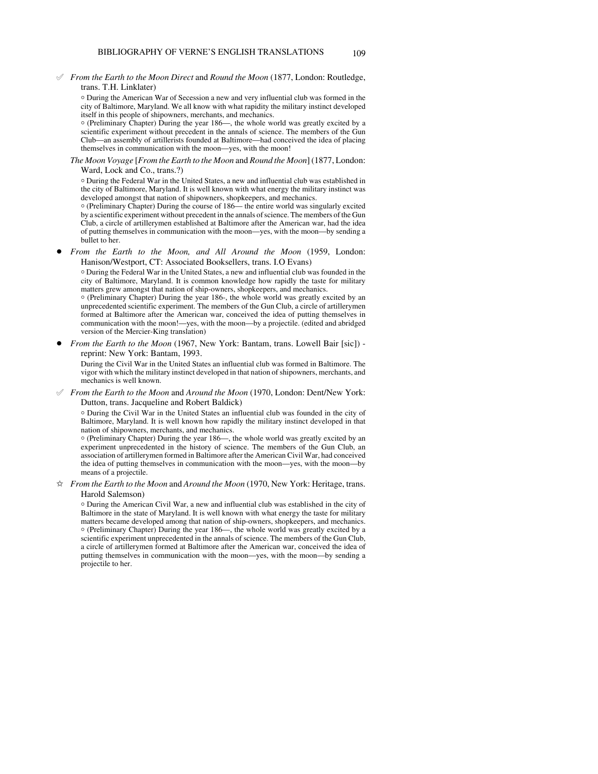° *From the Earth to the Moon Direct* and *Round the Moon* (1877, London: Routledge, trans. T.H. Linklater)

N During the American War of Secession a new and very influential club was formed in the city of Baltimore, Maryland. We all know with what rapidity the military instinct developed itself in this people of shipowners, merchants, and mechanics.

N (Preliminary Chapter) During the year 186—, the whole world was greatly excited by a scientific experiment without precedent in the annals of science. The members of the Gun Club—an assembly of artillerists founded at Baltimore—had conceived the idea of placing themselves in communication with the moon—yes, with the moon!

*The Moon Voyage* [*From the Earth to the Moon* and *Round the Moon*] (1877, London: Ward, Lock and Co., trans.?)

N During the Federal War in the United States, a new and influential club was established in the city of Baltimore, Maryland. It is well known with what energy the military instinct was developed amongst that nation of shipowners, shopkeepers, and mechanics.

N (Preliminary Chapter) During the course of 186— the entire world was singularly excited by a scientific experiment without precedent in the annals of science. The members of the Gun Club, a circle of artillerymen established at Baltimore after the American war, had the idea of putting themselves in communication with the moon—yes, with the moon—by sending a bullet to her.

! *From the Earth to the Moon, and All Around the Moon* (1959, London: Hanison/Westport, CT: Associated Booksellers, trans. I.O Evans)

 $\circ$  During the Federal War in the United States, a new and influential club was founded in the city of Baltimore, Maryland. It is common knowledge how rapidly the taste for military matters grew amongst that nation of ship-owners, shopkeepers, and mechanics.

o (Preliminary Chapter) During the year 186-, the whole world was greatly excited by an unprecedented scientific experiment. The members of the Gun Club, a circle of artillerymen formed at Baltimore after the American war, conceived the idea of putting themselves in communication with the moon!—yes, with the moon—by a projectile. (edited and abridged version of the Mercier-King translation)

! *From the Earth to the Moon* (1967, New York: Bantam, trans. Lowell Bair [sic]) reprint: New York: Bantam, 1993.

During the Civil War in the United States an influential club was formed in Baltimore. The vigor with which the military instinct developed in that nation of shipowners, merchants, and mechanics is well known.

° *From the Earth to the Moon* and *Around the Moon* (1970, London: Dent/New York: Dutton, trans. Jacqueline and Robert Baldick)

N During the Civil War in the United States an influential club was founded in the city of Baltimore, Maryland. It is well known how rapidly the military instinct developed in that nation of shipowners, merchants, and mechanics.

N (Preliminary Chapter) During the year 186—, the whole world was greatly excited by an experiment unprecedented in the history of science. The members of the Gun Club, an association of artillerymen formed in Baltimore after the American Civil War, had conceived the idea of putting themselves in communication with the moon—yes, with the moon—by means of a projectile.

j *From the Earth to the Moon* and *Around the Moon* (1970, New York: Heritage, trans. Harold Salemson)

N During the American Civil War, a new and influential club was established in the city of Baltimore in the state of Maryland. It is well known with what energy the taste for military matters became developed among that nation of ship-owners, shopkeepers, and mechanics. N (Preliminary Chapter) During the year 186—, the whole world was greatly excited by a scientific experiment unprecedented in the annals of science. The members of the Gun Club, a circle of artillerymen formed at Baltimore after the American war, conceived the idea of putting themselves in communication with the moon—yes, with the moon—by sending a projectile to her.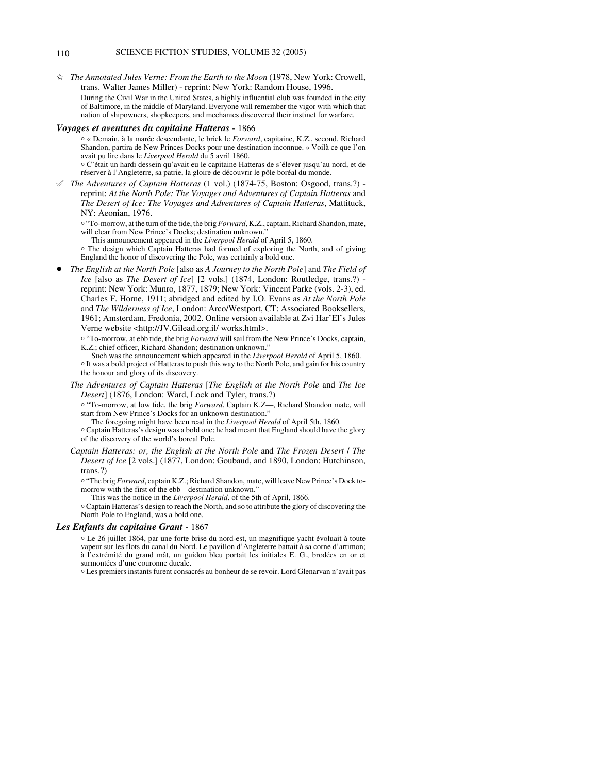# 110 SCIENCE FICTION STUDIES, VOLUME 32 (2005)

 $\hat{\varphi}$  The Annotated Jules Verne: From the Earth to the Moon (1978, New York: Crowell, trans. Walter James Miller) - reprint: New York: Random House, 1996. During the Civil War in the United States, a highly influential club was founded in the city of Baltimore, in the middle of Maryland. Everyone will remember the vigor with which that nation of shipowners, shopkeepers, and mechanics discovered their instinct for warfare.

#### *Voyages et aventures du capitaine Hatteras* - 1866

- <sup>o</sup> « Demain, à la marée descendante, le brick le *Forward*, capitaine, K.Z., second, Richard Shandon, partira de New Princes Docks pour une destination inconnue. » Voilà ce que l'on avait pu lire dans le *Liverpool Herald* du 5 avril 1860. N C'était un hardi dessein qu'avait eu le capitaine Hatteras de s'élever jusqu'au nord, et de
- réserver à l'Angleterre, sa patrie, la gloire de découvrir le pôle boréal du monde.
- ° *The Adventures of Captain Hatteras* (1 vol.) (1874-75, Boston: Osgood, trans.?) reprint: *At the North Pole: The Voyages and Adventures of Captain Hatteras* and *The Desert of Ice: The Voyages and Adventures of Captain Hatteras*, Mattituck, NY: Aeonian, 1976.
	- <sup>o</sup> "To-morrow, at the turn of the tide, the brig *Forward*, K.Z., captain, Richard Shandon, mate, will clear from New Prince's Docks; destination unknown.
		- This announcement appeared in the *Liverpool Herald* of April 5, 1860.
	- o The design which Captain Hatteras had formed of exploring the North, and of giving England the honor of discovering the Pole, was certainly a bold one.
- ! *The English at the North Pole* [also as *A Journey to the North Pole*] and *The Field of Ice* [also as *The Desert of Ice*] [2 vols.] (1874, London: Routledge, trans.?) reprint: New York: Munro, 1877, 1879; New York: Vincent Parke (vols. 2-3), ed. Charles F. Horne, 1911; abridged and edited by I.O. Evans as *At the North Pole* and *The Wilderness of Ice*, London: Arco/Westport, CT: Associated Booksellers, 1961; Amsterdam, Fredonia, 2002. Online version available at Zvi Har'El's Jules Verne website <http://JV.Gilead.org.il/ works.html>.
	- <sup>o</sup> "To-morrow, at ebb tide, the brig *Forward* will sail from the New Prince's Docks, captain, K.Z.; chief officer, Richard Shandon; destination unknown."
	- Such was the announcement which appeared in the *Liverpool Herald* of April 5, 1860. <sup>o</sup> It was a bold project of Hatteras to push this way to the North Pole, and gain for his country the honour and glory of its discovery.
	- *The Adventures of Captain Hatteras* [*The English at the North Pole* and *The Ice Desert*] (1876, London: Ward, Lock and Tyler, trans.?)
		- o "To-morrow, at low tide, the brig *Forward*, Captain K.Z—, Richard Shandon mate, will start from New Prince's Docks for an unknown destination."
		- The foregoing might have been read in the *Liverpool Herald* of April 5th, 1860.
		- <sup>o</sup> Captain Hatteras's design was a bold one; he had meant that England should have the glory of the discovery of the world's boreal Pole.
	- *Captain Hatteras: or, the English at the North Pole* and *The Frozen Desert* / *The Desert of Ice* [2 vols.] (1877, London: Goubaud, and 1890, London: Hutchinson, trans.?)
		- <sup>o</sup> "The brig *Forward*, captain K.Z.; Richard Shandon, mate, will leave New Prince's Dock tomorrow with the first of the ebb—destination unknown."
			- This was the notice in the *Liverpool Herald*, of the 5th of April, 1866.
		- <sup>o</sup> Captain Hatteras's design to reach the North, and so to attribute the glory of discovering the North Pole to England, was a bold one.

## *Les Enfants du capitaine Grant* - 1867

<sup>o</sup> Le 26 juillet 1864, par une forte brise du nord-est, un magnifique yacht évoluait à toute vapeur sur les flots du canal du Nord. Le pavillon d'Angleterre battait à sa corne d'artimon; à l'extrémité du grand mât, un guidon bleu portait les initiales E. G., brodées en or et surmontées d'une couronne ducale.

N Les premiers instants furent consacrés au bonheur de se revoir. Lord Glenarvan n'avait pas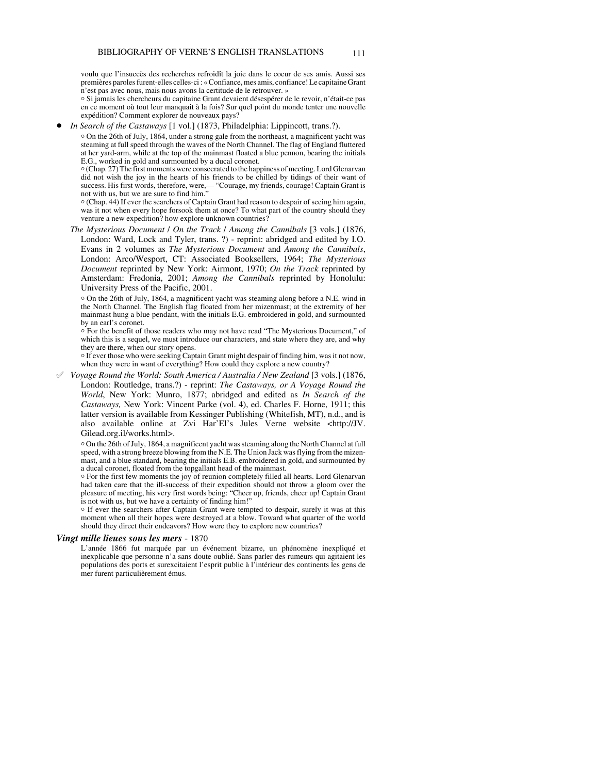voulu que l'insuccès des recherches refroidît la joie dans le coeur de ses amis. Aussi ses premières paroles furent-elles celles-ci : « Confiance, mes amis, confiance! Le capitaine Grant n'est pas avec nous, mais nous avons la certitude de le retrouver. »

N Si jamais les chercheurs du capitaine Grant devaient désespérer de le revoir, n'était-ce pas en ce moment où tout leur manquait à la fois? Sur quel point du monde tenter une nouvelle expédition? Comment explorer de nouveaux pays?

*In Search of the Castaways* [1 vol.] (1873, Philadelphia: Lippincott, trans.?).

 $\circ$  On the 26th of July, 1864, under a strong gale from the northeast, a magnificent yacht was steaming at full speed through the waves of the North Channel. The flag of England fluttered at her yard-arm, while at the top of the mainmast floated a blue pennon, bearing the initials E.G., worked in gold and surmounted by a ducal coronet.

N (Chap. 27) The first moments were consecrated to the happiness of meeting. Lord Glenarvan did not wish the joy in the hearts of his friends to be chilled by tidings of their want of success. His first words, therefore, were,— "Courage, my friends, courage! Captain Grant is not with us, but we are sure to find him."

 $\circ$  (Chap. 44) If ever the searchers of Captain Grant had reason to despair of seeing him again, was it not when every hope forsook them at once? To what part of the country should they venture a new expedition? how explore unknown countries?

*The Mysterious Document* / *On the Track* / *Among the Cannibals* [3 vols.] (1876, London: Ward, Lock and Tyler, trans. ?) - reprint: abridged and edited by I.O. Evans in 2 volumes as *The Mysterious Document* and *Among the Cannibals*, London: Arco/Wesport, CT: Associated Booksellers, 1964; *The Mysterious Document* reprinted by New York: Airmont, 1970; *On the Track* reprinted by Amsterdam: Fredonia, 2001; *Among the Cannibals* reprinted by Honolulu: University Press of the Pacific, 2001.

o On the 26th of July, 1864, a magnificent yacht was steaming along before a N.E. wind in the North Channel. The English flag floated from her mizenmast; at the extremity of her mainmast hung a blue pendant, with the initials E.G. embroidered in gold, and surmounted by an earl's coronet.

 $\circ$  For the benefit of those readers who may not have read "The Mysterious Document," of which this is a sequel, we must introduce our characters, and state where they are, and why they are there, when our story opens.

<sup>o</sup> If ever those who were seeking Captain Grant might despair of finding him, was it not now, when they were in want of everything? How could they explore a new country?

° *Voyage Round the World: South America / Australia / New Zealand* [3 vols.] (1876, London: Routledge, trans.?) - reprint: *The Castaways, or A Voyage Round the World*, New York: Munro, 1877; abridged and edited as *In Search of the Castaways,* New York: Vincent Parke (vol. 4), ed. Charles F. Horne, 1911; this latter version is available from Kessinger Publishing (Whitefish, MT), n.d., and is also available online at Zvi Har'El's Jules Verne website <http://JV. Gilead.org.il/works.html>.

N On the 26th of July, 1864, a magnificent yacht was steaming along the North Channel at full speed, with a strong breeze blowing from the N.E. The Union Jack was flying from the mizenmast, and a blue standard, bearing the initials E.B. embroidered in gold, and surmounted by a ducal coronet, floated from the topgallant head of the mainmast.

<sup>o</sup> For the first few moments the joy of reunion completely filled all hearts. Lord Glenarvan had taken care that the ill-success of their expedition should not throw a gloom over the pleasure of meeting, his very first words being: "Cheer up, friends, cheer up! Captain Grant is not with us, but we have a certainty of finding him!"

o If ever the searchers after Captain Grant were tempted to despair, surely it was at this moment when all their hopes were destroyed at a blow. Toward what quarter of the world should they direct their endeavors? How were they to explore new countries?

#### *Vingt mille lieues sous les mers* - 1870

L'année 1866 fut marquée par un événement bizarre, un phénomène inexpliqué et inexplicable que personne n'a sans doute oublié. Sans parler des rumeurs qui agitaient les populations des ports et surexcitaient l'esprit public à l'intérieur des continents les gens de mer furent particulièrement émus.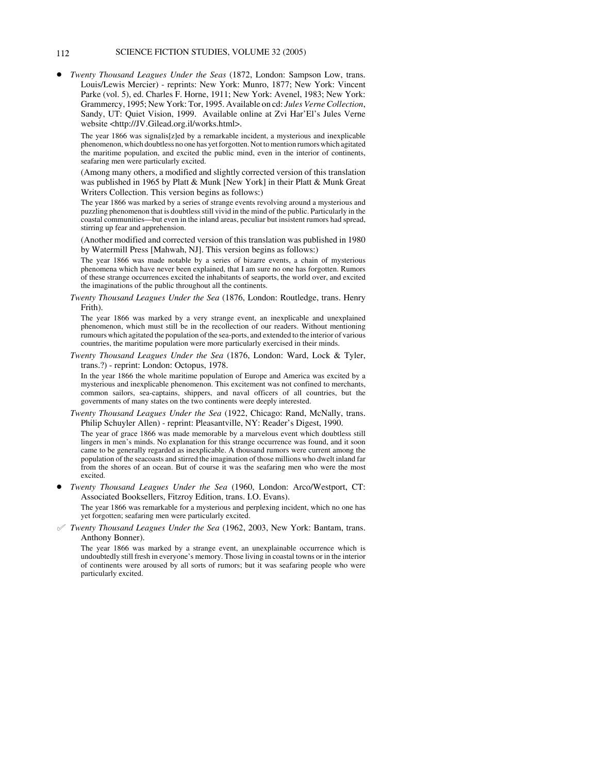# 112 SCIENCE FICTION STUDIES, VOLUME 32 (2005)

! *Twenty Thousand Leagues Under the Seas* (1872, London: Sampson Low, trans. Louis/Lewis Mercier) - reprints: New York: Munro, 1877; New York: Vincent Parke (vol. 5), ed. Charles F. Horne, 1911; New York: Avenel, 1983; New York: Grammercy, 1995; New York: Tor, 1995. Available on cd: *Jules Verne Collection*, Sandy, UT: Quiet Vision, 1999. Available online at Zvi Har'El's Jules Verne website <http://JV.Gilead.org.il/works.html>.

The year 1866 was signalis[z]ed by a remarkable incident, a mysterious and inexplicable phenomenon, which doubtless no one has yet forgotten. Not to mention rumors which agitated the maritime population, and excited the public mind, even in the interior of continents, seafaring men were particularly excited.

(Among many others, a modified and slightly corrected version of this translation was published in 1965 by Platt & Munk [New York] in their Platt & Munk Great Writers Collection. This version begins as follows:)

The year 1866 was marked by a series of strange events revolving around a mysterious and puzzling phenomenon that is doubtless still vivid in the mind of the public. Particularly in the coastal communities—but even in the inland areas, peculiar but insistent rumors had spread, stirring up fear and apprehension.

(Another modified and corrected version of this translation was published in 1980 by Watermill Press [Mahwah, NJ]. This version begins as follows:)

The year 1866 was made notable by a series of bizarre events, a chain of mysterious phenomena which have never been explained, that I am sure no one has forgotten. Rumors of these strange occurrences excited the inhabitants of seaports, the world over, and excited the imaginations of the public throughout all the continents.

*Twenty Thousand Leagues Under the Sea* (1876, London: Routledge, trans. Henry Frith).

The year 1866 was marked by a very strange event, an inexplicable and unexplained phenomenon, which must still be in the recollection of our readers. Without mentioning rumours which agitated the population of the sea-ports, and extended to the interior of various countries, the maritime population were more particularly exercised in their minds.

*Twenty Thousand Leagues Under the Sea* (1876, London: Ward, Lock & Tyler, trans.?) - reprint: London: Octopus, 1978.

In the year 1866 the whole maritime population of Europe and America was excited by a mysterious and inexplicable phenomenon. This excitement was not confined to merchants, common sailors, sea-captains, shippers, and naval officers of all countries, but the governments of many states on the two continents were deeply interested.

- *Twenty Thousand Leagues Under the Sea* (1922, Chicago: Rand, McNally, trans. Philip Schuyler Allen) - reprint: Pleasantville, NY: Reader's Digest, 1990. The year of grace 1866 was made memorable by a marvelous event which doubtless still lingers in men's minds. No explanation for this strange occurrence was found, and it soon came to be generally regarded as inexplicable. A thousand rumors were current among the population of the seacoasts and stirred the imagination of those millions who dwelt inland far from the shores of an ocean. But of course it was the seafaring men who were the most excited.
- ! *Twenty Thousand Leagues Under the Sea* (1960, London: Arco/Westport, CT: Associated Booksellers, Fitzroy Edition, trans. I.O. Evans).

The year 1866 was remarkable for a mysterious and perplexing incident, which no one has yet forgotten; seafaring men were particularly excited.

° *Twenty Thousand Leagues Under the Sea* (1962, 2003, New York: Bantam, trans. Anthony Bonner).

The year 1866 was marked by a strange event, an unexplainable occurrence which is undoubtedly still fresh in everyone's memory. Those living in coastal towns or in the interior of continents were aroused by all sorts of rumors; but it was seafaring people who were particularly excited.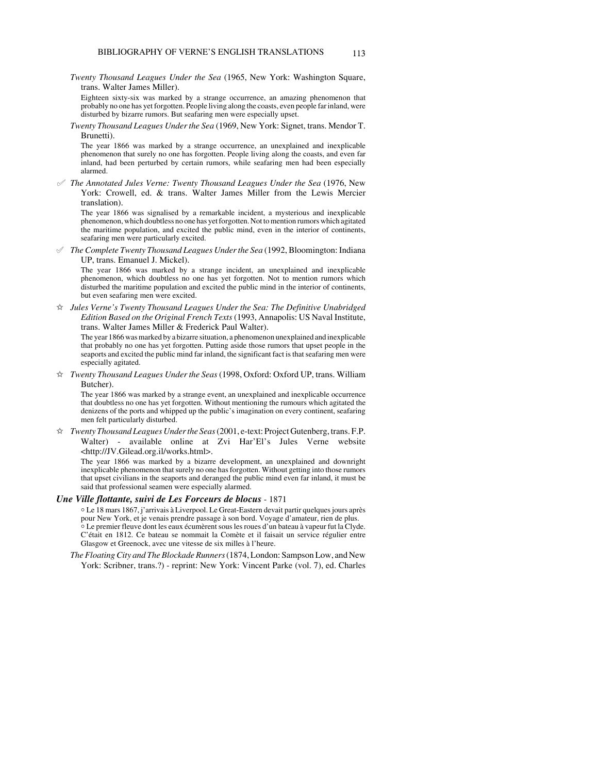*Twenty Thousand Leagues Under the Sea* (1965, New York: Washington Square, trans. Walter James Miller).

Eighteen sixty-six was marked by a strange occurrence, an amazing phenomenon that probably no one has yet forgotten. People living along the coasts, even people far inland, were disturbed by bizarre rumors. But seafaring men were especially upset.

*Twenty Thousand Leagues Under the Sea* (1969, New York: Signet, trans. Mendor T. Brunetti).

The year 1866 was marked by a strange occurrence, an unexplained and inexplicable phenomenon that surely no one has forgotten. People living along the coasts, and even far inland, had been perturbed by certain rumors, while seafaring men had been especially alarmed.

° *The Annotated Jules Verne: Twenty Thousand Leagues Under the Sea* (1976, New York: Crowell, ed. & trans. Walter James Miller from the Lewis Mercier translation).

The year 1866 was signalised by a remarkable incident, a mysterious and inexplicable phenomenon, which doubtless no one has yet forgotten. Not to mention rumors which agitated the maritime population, and excited the public mind, even in the interior of continents, seafaring men were particularly excited.

° *The Complete Twenty Thousand Leagues Under the Sea* (1992, Bloomington: Indiana UP, trans. Emanuel J. Mickel).

The year 1866 was marked by a strange incident, an unexplained and inexplicable phenomenon, which doubtless no one has yet forgotten. Not to mention rumors which disturbed the maritime population and excited the public mind in the interior of continents, but even seafaring men were excited.

 $\hat{\mathbb{X}}$  Jules Verne's Twenty Thousand Leagues Under the Sea: The Definitive Unabridged *Edition Based on the Original French Texts* (1993, Annapolis: US Naval Institute, trans. Walter James Miller & Frederick Paul Walter).

The year 1866 was marked by a bizarre situation, a phenomenon unexplained and inexplicable that probably no one has yet forgotten. Putting aside those rumors that upset people in the seaports and excited the public mind far inland, the significant fact is that seafaring men were especially agitated.

j *Twenty Thousand Leagues Under the Seas* (1998, Oxford: Oxford UP, trans. William Butcher).

The year 1866 was marked by a strange event, an unexplained and inexplicable occurrence that doubtless no one has yet forgotten. Without mentioning the rumours which agitated the denizens of the ports and whipped up the public's imagination on every continent, seafaring men felt particularly disturbed.

 $\hat{\varphi}$  *Twenty Thousand Leagues Under the Seas* (2001, e-text: Project Gutenberg, trans. F.P. Walter) - available online at Zvi Har'El's Jules Verne website <http://JV.Gilead.org.il/works.html>.

The year 1866 was marked by a bizarre development, an unexplained and downright inexplicable phenomenon that surely no one has forgotten. Without getting into those rumors that upset civilians in the seaports and deranged the public mind even far inland, it must be said that professional seamen were especially alarmed.

# *Une Ville flottante, suivi de Les Forceurs de blocus* - 1871

N Le 18 mars 1867, j'arrivais à Liverpool. Le Great-Eastern devait partir quelques jours après pour New York, et je venais prendre passage à son bord. Voyage d'amateur, rien de plus. Le premier fleuve dont les eaux écumèrent sous les roues d'un bateau à vapeur fut la Clyde. C'était en 1812. Ce bateau se nommait la Comète et il faisait un service régulier entre Glasgow et Greenock, avec une vitesse de six milles à l'heure.

*The Floating City and The Blockade Runners* (1874, London: Sampson Low, and New York: Scribner, trans.?) - reprint: New York: Vincent Parke (vol. 7), ed. Charles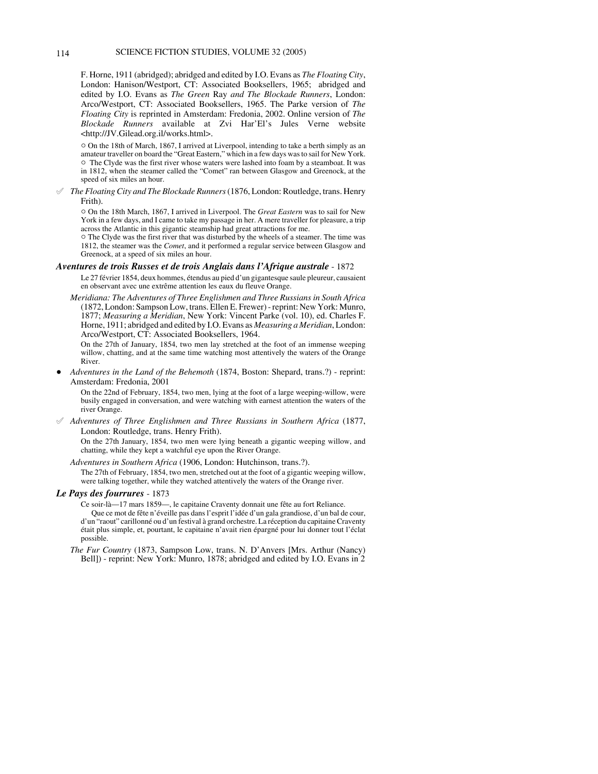F. Horne, 1911 (abridged); abridged and edited by I.O. Evans as *The Floating City*, London: Hanison/Westport, CT: Associated Booksellers, 1965; abridged and edited by I.O. Evans as *The Green* Ray *and The Blockade Runners*, London: Arco/Westport, CT: Associated Booksellers, 1965. The Parke version of *The Floating City* is reprinted in Amsterdam: Fredonia, 2002. Online version of *The Blockade Runners* available at Zvi Har'El's Jules Verne website <http://JV.Gilead.org.il/works.html>.

 $\circ$  On the 18th of March, 1867, I arrived at Liverpool, intending to take a berth simply as an amateur traveller on board the "Great Eastern," which in a few days was to sail for New York. <sup>o</sup> The Clyde was the first river whose waters were lashed into foam by a steamboat. It was in 1812, when the steamer called the "Comet" ran between Glasgow and Greenock, at the speed of six miles an hour.

° *The Floating City and The Blockade Runners* (1876, London: Routledge, trans. Henry Frith).

" On the 18th March, 1867, I arrived in Liverpool. The *Great Eastern* was to sail for New York in a few days, and I came to take my passage in her. A mere traveller for pleasure, a trip across the Atlantic in this gigantic steamship had great attractions for me.

 $\circ$  The Clyde was the first river that was disturbed by the wheels of a steamer. The time was 1812, the steamer was the *Comet*, and it performed a regular service between Glasgow and Greenock, at a speed of six miles an hour.

#### *Aventures de trois Russes et de trois Anglais dans l'Afrique australe* - 1872

Le 27 février 1854, deux hommes, étendus au pied d'un gigantesque saule pleureur, causaient en observant avec une extrême attention les eaux du fleuve Orange.

*Meridiana: The Adventures of Three Englishmen and Three Russians in South Africa* (1872, London: Sampson Low, trans. Ellen E. Frewer) - reprint: New York: Munro, 1877; *Measuring a Meridian*, New York: Vincent Parke (vol. 10), ed. Charles F. Horne, 1911; abridged and edited by I.O. Evans as *Measuring a Meridian*, London: Arco/Westport, CT: Associated Booksellers, 1964.

On the 27th of January, 1854, two men lay stretched at the foot of an immense weeping willow, chatting, and at the same time watching most attentively the waters of the Orange River.

! *Adventures in the Land of the Behemoth* (1874, Boston: Shepard, trans.?) - reprint: Amsterdam: Fredonia, 2001

On the 22nd of February, 1854, two men, lying at the foot of a large weeping-willow, were busily engaged in conversation, and were watching with earnest attention the waters of the river Orange.

° *Adventures of Three Englishmen and Three Russians in Southern Africa* (1877, London: Routledge, trans. Henry Frith).

On the 27th January, 1854, two men were lying beneath a gigantic weeping willow, and chatting, while they kept a watchful eye upon the River Orange.

*Adventures in Southern Africa* (1906, London: Hutchinson, trans.?).

The 27th of February, 1854, two men, stretched out at the foot of a gigantic weeping willow, were talking together, while they watched attentively the waters of the Orange river.

## *Le Pays des fourrures* - 1873

Ce soir-là—17 mars 1859—, le capitaine Craventy donnait une fête au fort Reliance. Que ce mot de fête n'éveille pas dans l'esprit l'idée d'un gala grandiose, d'un bal de cour, d'un "raout" carillonné ou d'un festival à grand orchestre. La réception du capitaine Craventy était plus simple, et, pourtant, le capitaine n'avait rien épargné pour lui donner tout l'éclat possible.

*The Fur Country* (1873, Sampson Low, trans. N. D'Anvers [Mrs. Arthur (Nancy) Bell]) - reprint: New York: Munro, 1878; abridged and edited by I.O. Evans in 2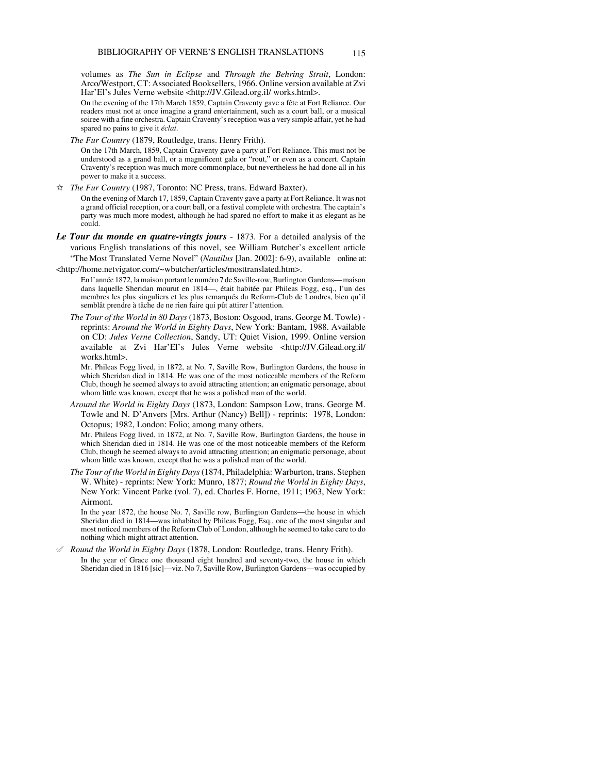volumes as *The Sun in Eclipse* and *Through the Behring Strait*, London: Arco/Westport, CT: Associated Booksellers, 1966. Online version available at Zvi Har'El's Jules Verne website <http://JV.Gilead.org.il/ works.html>.

On the evening of the 17th March 1859, Captain Craventy gave a fête at Fort Reliance. Our readers must not at once imagine a grand entertainment, such as a court ball, or a musical soiree with a fine orchestra. Captain Craventy's reception was a very simple affair, yet he had spared no pains to give it *éclat*.

*The Fur Country* (1879, Routledge, trans. Henry Frith).

On the 17th March, 1859, Captain Craventy gave a party at Fort Reliance. This must not be understood as a grand ball, or a magnificent gala or "rout," or even as a concert. Captain Craventy's reception was much more commonplace, but nevertheless he had done all in his power to make it a success.

 $\hat{\varphi}$  *The Fur Country* (1987, Toronto: NC Press, trans. Edward Baxter).

On the evening of March 17, 1859, Captain Craventy gave a party at Fort Reliance. It was not a grand official reception, or a court ball, or a festival complete with orchestra. The captain's party was much more modest, although he had spared no effort to make it as elegant as he could.

- *Le Tour du monde en quatre-vingts jours* 1873. For a detailed analysis of the various English translations of this novel, see William Butcher's excellent article "The Most Translated Verne Novel" (*Nautilus* [Jan. 2002]: 6-9), available online at:
- <http://home.netvigator.com/~wbutcher/articles/mosttranslated.htm>.

En l'année 1872, la maison portant le numéro 7 de Saville-row, Burlington Gardens— maison dans laquelle Sheridan mourut en 1814—, était habitée par Phileas Fogg, esq., l'un des membres les plus singuliers et les plus remarqués du Reform-Club de Londres, bien qu'il semblât prendre à tâche de ne rien faire qui pût attirer l'attention.

*The Tour of the World in 80 Days* (1873, Boston: Osgood, trans. George M. Towle) reprints: *Around the World in Eighty Days*, New York: Bantam, 1988. Available on CD: *Jules Verne Collection*, Sandy, UT: Quiet Vision, 1999. Online version available at Zvi Har'El's Jules Verne website <http://JV.Gilead.org.il/ works.html>.

Mr. Phileas Fogg lived, in 1872, at No. 7, Saville Row, Burlington Gardens, the house in which Sheridan died in 1814. He was one of the most noticeable members of the Reform Club, though he seemed always to avoid attracting attention; an enigmatic personage, about whom little was known, except that he was a polished man of the world.

*Around the World in Eighty Days* (1873, London: Sampson Low, trans. George M. Towle and N. D'Anvers [Mrs. Arthur (Nancy) Bell]) - reprints: 1978, London: Octopus; 1982, London: Folio; among many others.

Mr. Phileas Fogg lived, in 1872, at No. 7, Saville Row, Burlington Gardens, the house in which Sheridan died in 1814. He was one of the most noticeable members of the Reform Club, though he seemed always to avoid attracting attention; an enigmatic personage, about whom little was known, except that he was a polished man of the world.

*The Tour of the World in Eighty Days* (1874, Philadelphia: Warburton, trans. Stephen W. White) - reprints: New York: Munro, 1877; *Round the World in Eighty Days*, New York: Vincent Parke (vol. 7), ed. Charles F. Horne, 1911; 1963, New York: Airmont.

In the year 1872, the house No. 7, Saville row, Burlington Gardens—the house in which Sheridan died in 1814—was inhabited by Phileas Fogg, Esq., one of the most singular and most noticed members of the Reform Club of London, although he seemed to take care to do nothing which might attract attention.

° *Round the World in Eighty Days* (1878, London: Routledge, trans. Henry Frith). In the year of Grace one thousand eight hundred and seventy-two, the house in which Sheridan died in 1816 [sic]—viz. No 7, Saville Row, Burlington Gardens—was occupied by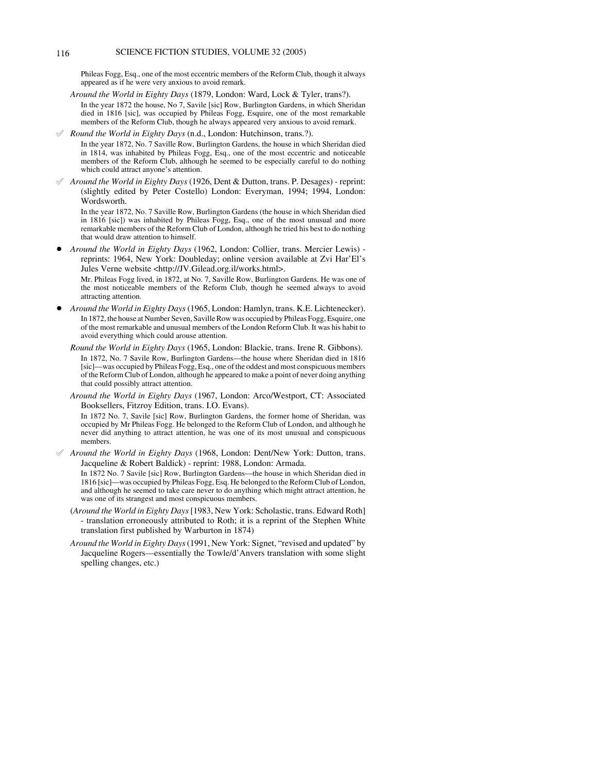# 116 SCIENCE FICTION STUDIES, VOLUME 32 (2005)

Phileas Fogg, Esq., one of the most eccentric members of the Reform Club, though it always appeared as if he were very anxious to avoid remark.

- *Around the World in Eighty Days* (1879, London: Ward, Lock & Tyler, trans?). In the year 1872 the house, No 7, Savile [sic] Row, Burlington Gardens, in which Sheridan died in 1816 [sic], was occupied by Phileas Fogg, Esquire, one of the most remarkable members of the Reform Club, though he always appeared very anxious to avoid remark.
- ° *Round the World in Eighty Days* (n.d., London: Hutchinson, trans.?). In the year 1872, No. 7 Saville Row, Burlington Gardens, the house in which Sheridan died in 1814, was inhabited by Phileas Fogg, Esq., one of the most eccentric and noticeable members of the Reform Club, although he seemed to be especially careful to do nothing which could attract anyone's attention.
- ° *Around the World in Eighty Days* (1926, Dent & Dutton, trans. P. Desages) reprint: (slightly edited by Peter Costello) London: Everyman, 1994; 1994, London: Wordsworth.

In the year 1872, No. 7 Saville Row, Burlington Gardens (the house in which Sheridan died in 1816 [sic]) was inhabited by Phileas Fogg, Esq., one of the most unusual and more remarkable members of the Reform Club of London, although he tried his best to do nothing that would draw attention to himself.

! *Around the World in Eighty Days* (1962, London: Collier, trans. Mercier Lewis) reprints: 1964, New York: Doubleday; online version available at Zvi Har'El's Jules Verne website <http://JV.Gilead.org.il/works.html>.

Mr. Phileas Fogg lived, in 1872, at No. 7, Saville Row, Burlington Gardens. He was one of the most noticeable members of the Reform Club, though he seemed always to avoid attracting attention.

- ! *Around the World in Eighty Days* (1965, London: Hamlyn, trans. K.E. Lichtenecker). In 1872, the house at Number Seven, Saville Row was occupied by Phileas Fogg, Esquire, one of the most remarkable and unusual members of the London Reform Club. It was his habit to avoid everything which could arouse attention.
	- *Round the World in Eighty Days* (1965, London: Blackie, trans. Irene R. Gibbons). In 1872, No. 7 Savile Row, Burlington Gardens—the house where Sheridan died in 1816 [sic]—was occupied by Phileas Fogg, Esq., one of the oddest and most conspicuous members of the Reform Club of London, although he appeared to make a point of never doing anything that could possibly attract attention.
	- *Around the World in Eighty Days* (1967, London: Arco/Westport, CT: Associated Booksellers, Fitzroy Edition, trans. I.O. Evans).

In 1872 No. 7, Savile [sic] Row, Burlington Gardens, the former home of Sheridan, was occupied by Mr Phileas Fogg. He belonged to the Reform Club of London, and although he never did anything to attract attention, he was one of its most unusual and conspicuous members.

° *Around the World in Eighty Days* (1968, London: Dent/New York: Dutton, trans. Jacqueline & Robert Baldick) - reprint: 1988, London: Armada.

In 1872 No. 7 Savile [sic] Row, Burlington Gardens—the house in which Sheridan died in 1816 [sic]—was occupied by Phileas Fogg, Esq. He belonged to the Reform Club of London, and although he seemed to take care never to do anything which might attract attention, he was one of its strangest and most conspicuous members.

- (*Around the World in Eighty Days* [1983, New York: Scholastic, trans. Edward Roth] - translation erroneously attributed to Roth; it is a reprint of the Stephen White translation first published by Warburton in 1874)
- *Around the World in Eighty Days* (1991, New York: Signet, "revised and updated" by Jacqueline Rogers—essentially the Towle/d'Anvers translation with some slight spelling changes, etc.)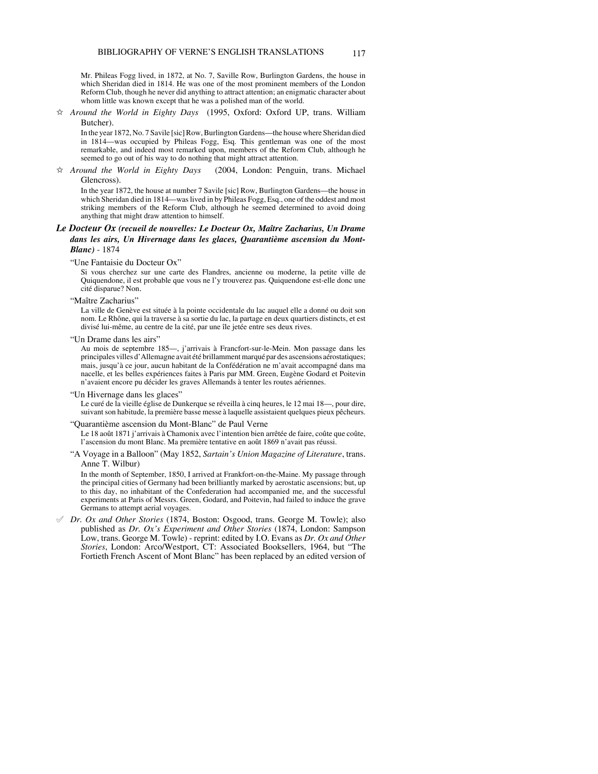Mr. Phileas Fogg lived, in 1872, at No. 7, Saville Row, Burlington Gardens, the house in which Sheridan died in 1814. He was one of the most prominent members of the London Reform Club, though he never did anything to attract attention; an enigmatic character about whom little was known except that he was a polished man of the world.

 $\hat{\varphi}$  *Around the World in Eighty Days* (1995, Oxford: Oxford UP, trans. William Butcher).

In the year 1872, No. 7 Savile [sic] Row, Burlington Gardens—the house where Sheridan died in 1814—was occupied by Phileas Fogg, Esq. This gentleman was one of the most remarkable, and indeed most remarked upon, members of the Reform Club, although he seemed to go out of his way to do nothing that might attract attention.

 $\dot{\varphi}$  *Around the World in Eighty Days* (2004, London: Penguin, trans. Michael Glencross).

In the year 1872, the house at number 7 Savile [sic] Row, Burlington Gardens—the house in which Sheridan died in 1814—was lived in by Phileas Fogg, Esq., one of the oddest and most striking members of the Reform Club, although he seemed determined to avoid doing anything that might draw attention to himself.

# *Le Docteur Ox (recueil de nouvelles: Le Docteur Ox, Maître Zacharius, Un Drame dans les airs, Un Hivernage dans les glaces, Quarantième ascension du Mont-Blanc)* - 1874

"Une Fantaisie du Docteur Ox"

Si vous cherchez sur une carte des Flandres, ancienne ou moderne, la petite ville de Quiquendone, il est probable que vous ne l'y trouverez pas. Quiquendone est-elle donc une cité disparue? Non.

"Maître Zacharius"

La ville de Genève est située à la pointe occidentale du lac auquel elle a donné ou doit son nom. Le Rhône, qui la traverse à sa sortie du lac, la partage en deux quartiers distincts, et est divisé lui-même, au centre de la cité, par une île jetée entre ses deux rives.

"Un Drame dans les airs"

Au mois de septembre 185—, j'arrivais à Francfort-sur-le-Mein. Mon passage dans les principales villes d'Allemagne avait été brillamment marqué par des ascensions aérostatiques; mais, jusqu'à ce jour, aucun habitant de la Confédération ne m'avait accompagné dans ma nacelle, et les belles expériences faites à Paris par MM. Green, Eugène Godard et Poitevin n'avaient encore pu décider les graves Allemands à tenter les routes aériennes.

"Un Hivernage dans les glaces"

Le curé de la vieille église de Dunkerque se réveilla à cinq heures, le 12 mai 18—, pour dire, suivant son habitude, la première basse messe à laquelle assistaient quelques pieux pêcheurs.

"Quarantième ascension du Mont-Blanc" de Paul Verne

Le 18 août 1871 j'arrivais à Chamonix avec l'intention bien arrêtée de faire, coûte que coûte, l'ascension du mont Blanc. Ma première tentative en août 1869 n'avait pas réussi.

"A Voyage in a Balloon" (May 1852, *Sartain's Union Magazine of Literature*, trans. Anne T. Wilbur)

In the month of September, 1850, I arrived at Frankfort-on-the-Maine. My passage through the principal cities of Germany had been brilliantly marked by aerostatic ascensions; but, up to this day, no inhabitant of the Confederation had accompanied me, and the successful experiments at Paris of Messrs. Green, Godard, and Poitevin, had failed to induce the grave Germans to attempt aerial voyages.

° *Dr. Ox and Other Stories* (1874, Boston: Osgood, trans. George M. Towle); also published as *Dr. Ox's Experiment and Other Stories* (1874, London: Sampson Low, trans. George M. Towle) - reprint: edited by I.O. Evans as *Dr. Ox and Other Stories*, London: Arco/Westport, CT: Associated Booksellers, 1964, but "The Fortieth French Ascent of Mont Blanc" has been replaced by an edited version of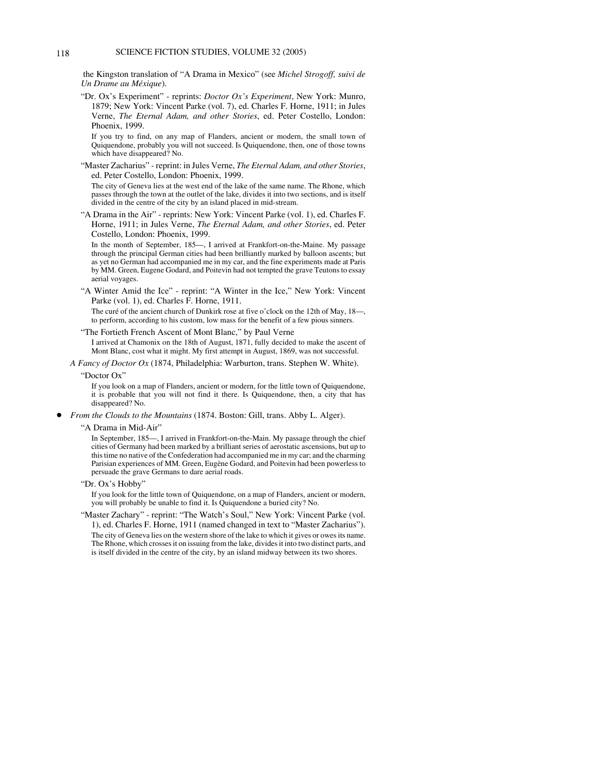the Kingston translation of "A Drama in Mexico" (see *Michel Strogoff, suivi de Un Drame au Méxique*).

"Dr. Ox's Experiment" - reprints: *Doctor Ox's Experiment*, New York: Munro, 1879; New York: Vincent Parke (vol. 7), ed. Charles F. Horne, 1911; in Jules Verne, *The Eternal Adam, and other Stories*, ed. Peter Costello, London: Phoenix, 1999.

If you try to find, on any map of Flanders, ancient or modern, the small town of Quiquendone, probably you will not succeed. Is Quiquendone, then, one of those towns which have disappeared? No.

"Master Zacharius" - reprint: in Jules Verne, *The Eternal Adam, and other Stories*, ed. Peter Costello, London: Phoenix, 1999.

The city of Geneva lies at the west end of the lake of the same name. The Rhone, which passes through the town at the outlet of the lake, divides it into two sections, and is itself divided in the centre of the city by an island placed in mid-stream.

"A Drama in the Air" - reprints: New York: Vincent Parke (vol. 1), ed. Charles F. Horne, 1911; in Jules Verne, *The Eternal Adam, and other Stories*, ed. Peter Costello, London: Phoenix, 1999.

In the month of September, 185—, I arrived at Frankfort-on-the-Maine. My passage through the principal German cities had been brilliantly marked by balloon ascents; but as yet no German had accompanied me in my car, and the fine experiments made at Paris by MM. Green, Eugene Godard, and Poitevin had not tempted the grave Teutons to essay aerial voyages.

"A Winter Amid the Ice" - reprint: "A Winter in the Ice," New York: Vincent Parke (vol. 1), ed. Charles F. Horne, 1911.

The curé of the ancient church of Dunkirk rose at five o'clock on the 12th of May, 18—, to perform, according to his custom, low mass for the benefit of a few pious sinners.

"The Fortieth French Ascent of Mont Blanc," by Paul Verne

I arrived at Chamonix on the 18th of August, 1871, fully decided to make the ascent of Mont Blanc, cost what it might. My first attempt in August, 1869, was not successful.

*A Fancy of Doctor Ox* (1874, Philadelphia: Warburton, trans. Stephen W. White).

## "Doctor Ox"

If you look on a map of Flanders, ancient or modern, for the little town of Quiquendone, it is probable that you will not find it there. Is Quiquendone, then, a city that has disappeared? No.

! *From the Clouds to the Mountains* (1874. Boston: Gill, trans. Abby L. Alger).

#### "A Drama in Mid-Air"

In September, 185—, I arrived in Frankfort-on-the-Main. My passage through the chief cities of Germany had been marked by a brilliant series of aerostatic ascensions, but up to this time no native of the Confederation had accompanied me in my car; and the charming Parisian experiences of MM. Green, Eugène Godard, and Poitevin had been powerless to persuade the grave Germans to dare aerial roads.

#### "Dr. Ox's Hobby"

If you look for the little town of Quiquendone, on a map of Flanders, ancient or modern, you will probably be unable to find it. Is Quiquendone a buried city? No.

"Master Zachary" - reprint: "The Watch's Soul," New York: Vincent Parke (vol. 1), ed. Charles F. Horne, 1911 (named changed in text to "Master Zacharius"). The city of Geneva lies on the western shore of the lake to which it gives or owes its name. The Rhone, which crosses it on issuing from the lake, divides it into two distinct parts, and is itself divided in the centre of the city, by an island midway between its two shores.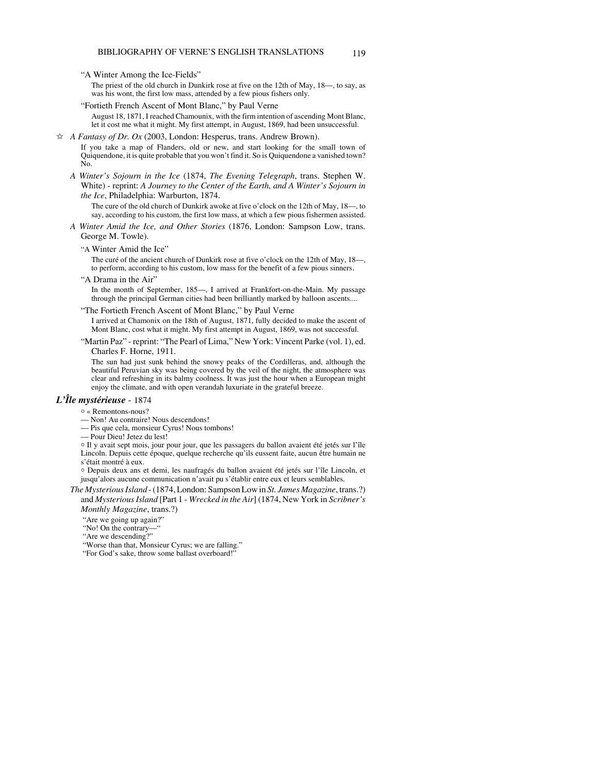"A Winter Among the Ice-Fields"

The priest of the old church in Dunkirk rose at five on the 12th of May, 18—, to say, as was his wont, the first low mass, attended by a few pious fishers only.

"Fortieth French Ascent of Mont Blanc," by Paul Verne

August 18, 1871, I reached Chamounix, with the firm intention of ascending Mont Blanc, let it cost me what it might. My first attempt, in August, 1869, had been unsuccessful.

 $\hat{\varphi}$  *A Fantasy of Dr. Ox* (2003, London: Hesperus, trans. Andrew Brown).

If you take a map of Flanders, old or new, and start looking for the small town of Quiquendone, it is quite probable that you won't find it. So is Quiquendone a vanished town? No.

*A Winter's Sojourn in the Ice* (1874, *The Evening Telegraph*, trans. Stephen W. White) - reprint: *A Journey to the Center of the Earth, and A Winter's Sojourn in the Ice*, Philadelphia: Warburton, 1874.

The cure of the old church of Dunkirk awoke at five o'clock on the 12th of May, 18—, to say, according to his custom, the first low mass, at which a few pious fishermen assisted.

- *A Winter Amid the Ice, and Other Stories* (1876, London: Sampson Low, trans. George M. Towle).
	- "A Winter Amid the Ice"

The curé of the ancient church of Dunkirk rose at five o'clock on the 12th of May, 18—, to perform, according to his custom, low mass for the benefit of a few pious sinners.

"A Drama in the Air"

In the month of September, 185—, I arrived at Frankfort-on-the-Main. My passage through the principal German cities had been brilliantly marked by balloon ascents....

"The Fortieth French Ascent of Mont Blanc," by Paul Verne

I arrived at Chamonix on the 18th of August, 1871, fully decided to make the ascent of Mont Blanc, cost what it might. My first attempt in August, 1869, was not successful.

"Martin Paz" - reprint: "The Pearl of Lima," New York: Vincent Parke (vol. 1), ed. Charles F. Horne, 1911.

The sun had just sunk behind the snowy peaks of the Cordilleras, and, although the beautiful Peruvian sky was being covered by the veil of the night, the atmosphere was clear and refreshing in its balmy coolness. It was just the hour when a European might enjoy the climate, and with open verandah luxuriate in the grateful breeze.

#### *L'Île mystérieuse* - 1874

 $\circ$  « Remontons-nous?

— Non! Au contraire! Nous descendons!

— Pis que cela, monsieur Cyrus! Nous tombons!

— Pour Dieu! Jetez du lest!

o Il y avait sept mois, jour pour jour, que les passagers du ballon avaient été jetés sur l'île Lincoln. Depuis cette époque, quelque recherche qu'ils eussent faite, aucun être humain ne s'était montré à eux.

N Depuis deux ans et demi, les naufragés du ballon avaient été jetés sur l'île Lincoln, et jusqu'alors aucune communication n'avait pu s'établir entre eux et leurs semblables.

*The Mysterious Island* - (1874, London: Sampson Low in *St. James Magazine*, trans.?) and *Mysterious Island* [Part 1 - *Wrecked in the Air*] (1874, New York in *Scribner's Monthly Magazine*, trans.?)

"Are we going up again?"

"No! On the contrary—"

"Are we descending?"

"Worse than that, Monsieur Cyrus; we are falling."

"For God's sake, throw some ballast overboard!"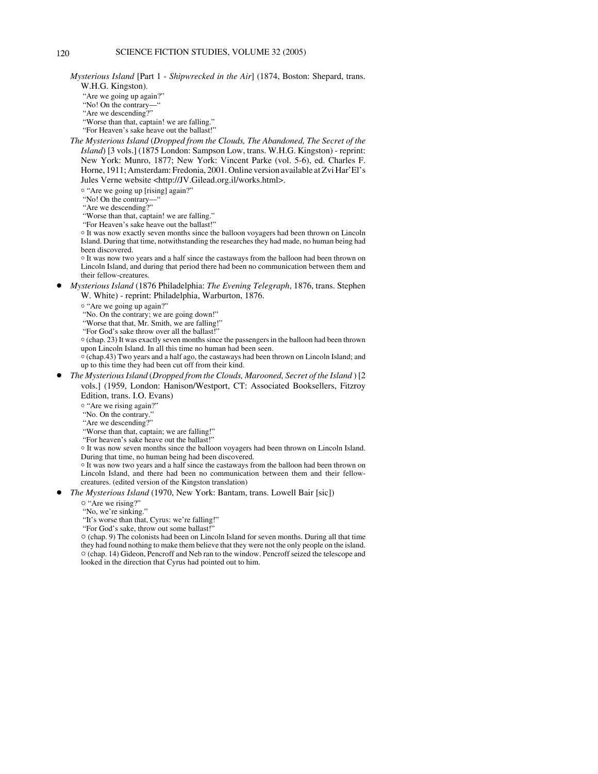*Mysterious Island* [Part 1 - *Shipwrecked in the Air*] (1874, Boston: Shepard, trans. W.H.G. Kingston).

"Are we going up again?"

"No! On the contrary—"

"Are we descending?"

 "Worse than that, captain! we are falling." "For Heaven's sake heave out the ballast!"

*The Mysterious Island* (*Dropped from the Clouds, The Abandoned, The Secret of the Island*) [3 vols.] (1875 London: Sampson Low, trans. W.H.G. Kingston) - reprint: New York: Munro, 1877; New York: Vincent Parke (vol. 5-6), ed. Charles F. Horne, 1911; Amsterdam: Fredonia, 2001. Online version available at Zvi Har'El's Jules Verne website <http://JV.Gilead.org.il/works.html>.

o "Are we going up [rising] again?"

"No! On the contrary-

"Are we descending?"

"Worse than that, captain! we are falling."

"For Heaven's sake heave out the ballast!"

<sup>o</sup> It was now exactly seven months since the balloon voyagers had been thrown on Lincoln Island. During that time, notwithstanding the researches they had made, no human being had been discovered.

 $\circ$  It was now two years and a half since the castaways from the balloon had been thrown on Lincoln Island, and during that period there had been no communication between them and their fellow-creatures.

! *Mysterious Island* (1876 Philadelphia: *The Evening Telegraph*, 1876, trans. Stephen W. White) - reprint: Philadelphia, Warburton, 1876.

o "Are we going up again?"

"No. On the contrary; we are going down!"

"Worse that that, Mr. Smith, we are falling!"

"For God's sake throw over all the ballast!"

 $\circ$  (chap. 23) It was exactly seven months since the passengers in the balloon had been thrown upon Lincoln Island. In all this time no human had been seen.

 $\circ$  (chap.43) Two years and a half ago, the castaways had been thrown on Lincoln Island; and up to this time they had been cut off from their kind.

! *The Mysterious Island* (*Dropped from the Clouds, Marooned, Secret of the Island* ) [2 vols.] (1959, London: Hanison/Westport, CT: Associated Booksellers, Fitzroy Edition, trans. I.O. Evans)

o "Are we rising again?"

"No. On the contrary."

"Are we descending?"

"Worse than that, captain; we are falling!"

"For heaven's sake heave out the ballast!"

o It was now seven months since the balloon voyagers had been thrown on Lincoln Island. During that time, no human being had been discovered.

 $\circ$  It was now two years and a half since the castaways from the balloon had been thrown on Lincoln Island, and there had been no communication between them and their fellowcreatures. (edited version of the Kingston translation)

*The Mysterious Island* (1970, New York: Bantam, trans. Lowell Bair [sic])

o "Are we rising?"

"No, we're sinking."

"It's worse than that, Cyrus: we're falling!"

"For God's sake, throw out some ballast!"

 $\circ$  (chap. 9) The colonists had been on Lincoln Island for seven months. During all that time they had found nothing to make them believe that they were not the only people on the island.  $\circ$  (chap. 14) Gideon, Pencroff and Neb ran to the window. Pencroff seized the telescope and looked in the direction that Cyrus had pointed out to him.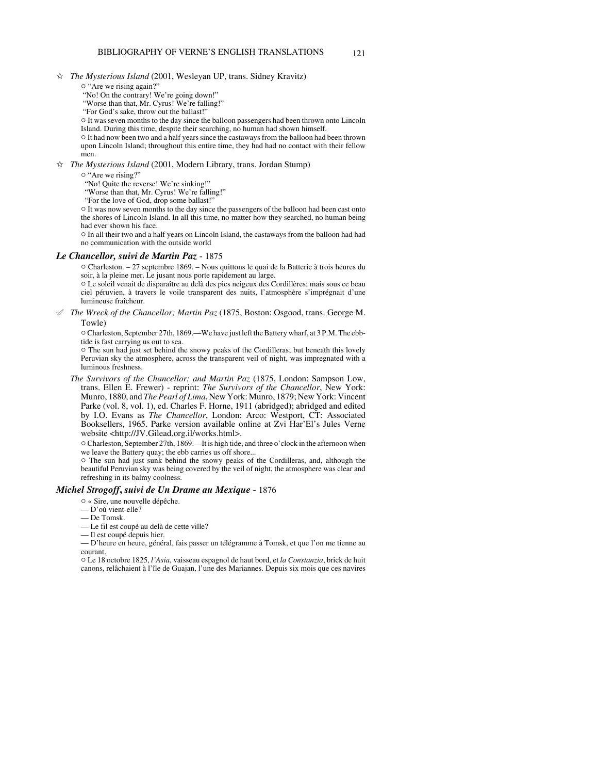- $\hat{\mathbb{X}}$  *The Mysterious Island* (2001, Wesleyan UP, trans. Sidney Kravitz)
	- $\circ$  "Are we rising again?"
	- "No! On the contrary! We're going down!"
	- "Worse than that, Mr. Cyrus! We're falling!" "For God's sake, throw out the ballast!"
	-
	- $\circ$  It was seven months to the day since the balloon passengers had been thrown onto Lincoln Island. During this time, despite their searching, no human had shown himself.
	- " It had now been two and a half years since the castaways from the balloon had been thrown upon Lincoln Island; throughout this entire time, they had had no contact with their fellow men.

 $\hat{\varphi}$  *The Mysterious Island* (2001, Modern Library, trans. Jordan Stump)

 $\circ$  "Are we rising?"

"No! Quite the reverse! We're sinking!"

- "Worse than that, Mr. Cyrus! We're falling!"
- "For the love of God, drop some ballast!"

 $\circ$  It was now seven months to the day since the passengers of the balloon had been cast onto the shores of Lincoln Island. In all this time, no matter how they searched, no human being had ever shown his face.

 $\circ$  In all their two and a half years on Lincoln Island, the castaways from the balloon had had no communication with the outside world

# *Le Chancellor, suivi de Martin Paz* - 1875

" Charleston. – 27 septembre 1869. – Nous quittons le quai de la Batterie à trois heures du soir, à la pleine mer. Le jusant nous porte rapidement au large.

" Le soleil venait de disparaître au delà des pics neigeux des Cordillères; mais sous ce beau ciel péruvien, à travers le voile transparent des nuits, l'atmosphère s'imprégnait d'une lumineuse fraîcheur.

° *The Wreck of the Chancellor; Martin Paz* (1875, Boston: Osgood, trans. George M. Towle)

 $\circ$  Charleston, September 27th, 1869.—We have just left the Battery wharf, at 3 P.M. The ebbtide is fast carrying us out to sea.

 $\circ$  The sun had just set behind the snowy peaks of the Cordilleras; but beneath this lovely Peruvian sky the atmosphere, across the transparent veil of night, was impregnated with a luminous freshness.

*The Survivors of the Chancellor; and Martin Paz* (1875, London: Sampson Low, trans. Ellen E. Frewer) - reprint: *The Survivors of the Chancellor*, New York: Munro, 1880, and *The Pearl of Lima*, New York: Munro, 1879; New York: Vincent Parke (vol. 8, vol. 1), ed. Charles F. Horne, 1911 (abridged); abridged and edited by I.O. Evans as *The Chancellor*, London: Arco: Westport, CT: Associated Booksellers, 1965. Parke version available online at Zvi Har'El's Jules Verne website <http://JV.Gilead.org.il/works.html>.

" Charleston, September 27th, 1869.—It is high tide, and three o'clock in the afternoon when we leave the Battery quay; the ebb carries us off shore...

 $\circ$  The sun had just sunk behind the snowy peaks of the Cordilleras, and, although the beautiful Peruvian sky was being covered by the veil of night, the atmosphere was clear and refreshing in its balmy coolness.

# *Michel Strogoff***,** *suivi de Un Drame au Mexique* - 1876

- $\circ$  « Sire, une nouvelle dépêche.
- D'où vient-elle?
- De Tomsk.

— Le fil est coupé au delà de cette ville?

— Il est coupé depuis hier.

— D'heure en heure, général, fais passer un télégramme à Tomsk, et que l'on me tienne au courant.

" Le 18 octobre 1825, *l'Asia*, vaisseau espagnol de haut bord, et *la Constanzia*, brick de huit canons, relâchaient à l'île de Guajan, l'une des Mariannes. Depuis six mois que ces navires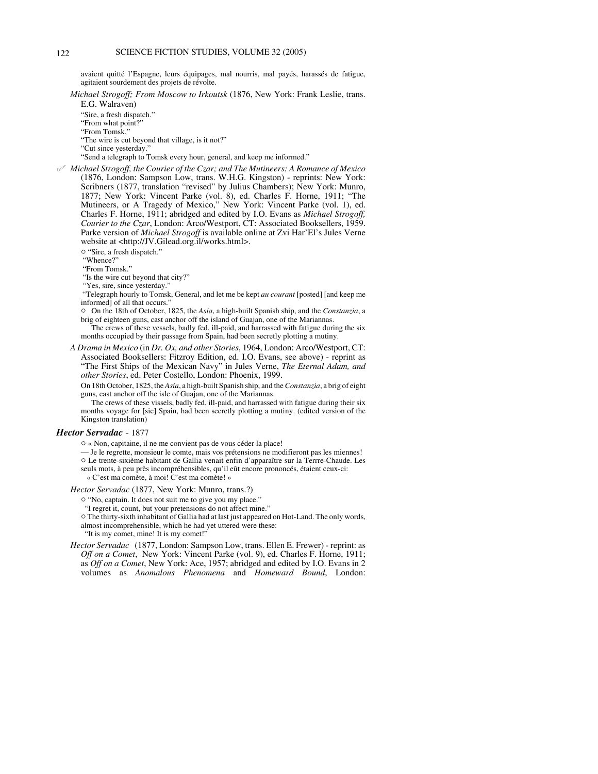avaient quitté l'Espagne, leurs équipages, mal nourris, mal payés, harassés de fatigue, agitaient sourdement des projets de révolte.

*Michael Strogoff; From Moscow to Irkoutsk* (1876, New York: Frank Leslie, trans.

E.G. Walraven)

"Sire, a fresh dispatch."

"From what point?" "From Tomsk."

"The wire is cut beyond that village, is it not?"

"Cut since yesterday."

"Send a telegraph to Tomsk every hour, general, and keep me informed."

° *Michael Strogoff, the Courier of the Czar; and The Mutineers: A Romance of Mexico* (1876, London: Sampson Low, trans. W.H.G. Kingston) - reprints: New York: Scribners (1877, translation "revised" by Julius Chambers); New York: Munro, 1877; New York: Vincent Parke (vol. 8), ed. Charles F. Horne, 1911; "The Mutineers, or A Tragedy of Mexico," New York: Vincent Parke (vol. 1), ed. Charles F. Horne, 1911; abridged and edited by I.O. Evans as *Michael Strogoff, Courier to the Czar*, London: Arco/Westport, CT: Associated Booksellers, 1959. Parke version of *Michael Strogoff* is available online at Zvi Har'El's Jules Verne website at <http://JV.Gilead.org.il/works.html>.

 $\circ$  "Sire, a fresh dispatch."

"Whence?"

"From Tomsk."

"Is the wire cut beyond that city?"

"Yes, sire, since yesterday."

 "Telegraph hourly to Tomsk, General, and let me be kept *au courant* [posted] [and keep me informed] of all that occurs.'

" On the 18th of October, 1825, the *Asia*, a high-built Spanish ship, and the *Constanzia*, a brig of eighteen guns, cast anchor off the island of Guajan, one of the Mariannas.

The crews of these vessels, badly fed, ill-paid, and harrassed with fatigue during the six months occupied by their passage from Spain, had been secretly plotting a mutiny.

*A Drama in Mexico* (in *Dr. Ox, and other Stories*, 1964, London: Arco/Westport, CT: Associated Booksellers: Fitzroy Edition, ed. I.O. Evans, see above) - reprint as "The First Ships of the Mexican Navy" in Jules Verne, *The Eternal Adam, and other Stories*, ed. Peter Costello, London: Phoenix, 1999.

On 18th October, 1825, the *Asia*, a high-built Spanish ship, and the *Constanzia*, a brig of eight guns, cast anchor off the isle of Guajan, one of the Mariannas.

The crews of these vissels, badly fed, ill-paid, and harrassed with fatigue during their six months voyage for [sic] Spain, had been secretly plotting a mutiny. (edited version of the Kingston translation)

#### *Hector Servadac* - 1877

 $\circ$  « Non, capitaine, il ne me convient pas de vous céder la place!

— Je le regrette, monsieur le comte, mais vos prétensions ne modifieront pas les miennes!

" Le trente-sixième habitant de Gallia venait enfin d'apparaître sur la Terrre-Chaude. Les seuls mots, à peu près incompréhensibles, qu'il eût encore prononcés, étaient ceux-ci:

« C'est ma comète, à moi! C'est ma comète! »

#### *Hector Servadac* (1877, New York: Munro, trans.?)

 $\circ$  "No, captain. It does not suit me to give you my place."

"I regret it, count, but your pretensions do not affect mine."

 $\circ$  The thirty-sixth inhabitant of Gallia had at last just appeared on Hot-Land. The only words,

almost incomprehensible, which he had yet uttered were these:

"It is my comet, mine! It is my comet!"

*Hector Servadac* (1877, London: Sampson Low, trans. Ellen E. Frewer) - reprint: as *Off on a Comet*, New York: Vincent Parke (vol. 9), ed. Charles F. Horne, 1911; as *Off on a Comet*, New York: Ace, 1957; abridged and edited by I.O. Evans in 2 volumes as *Anomalous Phenomena* and *Homeward Bound*, London: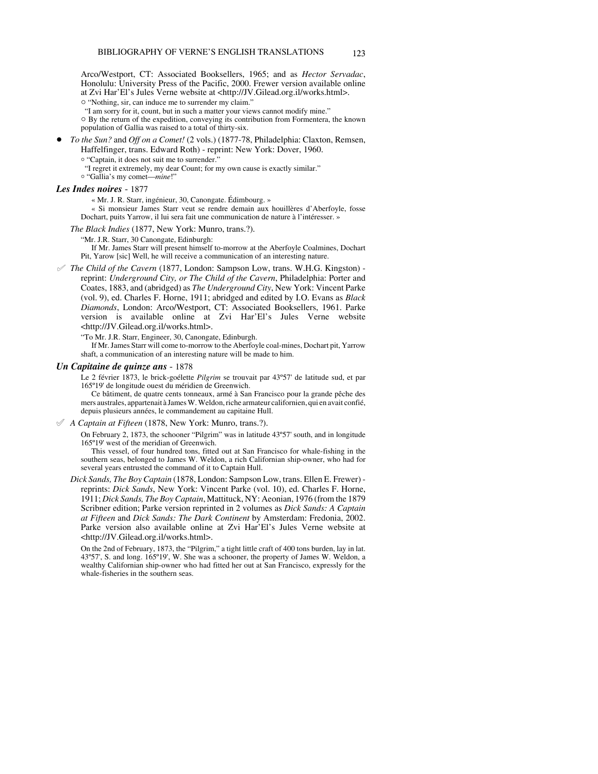Arco/Westport, CT: Associated Booksellers, 1965; and as *Hector Servadac*, Honolulu: University Press of the Pacific, 2000. Frewer version available online at Zvi Har'El's Jules Verne website at <http://JV.Gilead.org.il/works.html>.

 $\circ$  "Nothing, sir, can induce me to surrender my claim."

"I am sorry for it, count, but in such a matter your views cannot modify mine."

 $\circ$  By the return of the expedition, conveying its contribution from Formentera, the known population of Gallia was raised to a total of thirty-six.

! *To the Sun?* and *Off on a Comet!* (2 vols.) (1877-78, Philadelphia: Claxton, Remsen,

Haffelfinger, trans. Edward Roth) - reprint: New York: Dover, 1960.

<sup>o</sup> "Captain, it does not suit me to surrender."

"I regret it extremely, my dear Count; for my own cause is exactly similar."

o "Gallia's my comet—*mine*!"

# *Les Indes noires* - 1877

« Mr. J. R. Starr, ingénieur, 30, Canongate. Édimbourg. »

« Si monsieur James Starr veut se rendre demain aux houillères d'Aberfoyle, fosse Dochart, puits Yarrow, il lui sera fait une communication de nature à l'intéresser. »

*The Black Indies* (1877, New York: Munro, trans.?).

"Mr. J.R. Starr, 30 Canongate, Edinburgh:

If Mr. James Starr will present himself to-morrow at the Aberfoyle Coalmines, Dochart Pit, Yarow [sic] Well, he will receive a communication of an interesting nature.

° *The Child of the Cavern* (1877, London: Sampson Low, trans. W.H.G. Kingston) reprint: *Underground City, or The Child of the Cavern*, Philadelphia: Porter and Coates, 1883, and (abridged) as *The Underground City*, New York: Vincent Parke (vol. 9), ed. Charles F. Horne, 1911; abridged and edited by I.O. Evans as *Black Diamonds*, London: Arco/Westport, CT: Associated Booksellers, 1961. Parke version is available online at Zvi Har'El's Jules Verne website <http://JV.Gilead.org.il/works.html>.

"To Mr. J.R. Starr, Engineer, 30, Canongate, Edinburgh.

If Mr. James Starr will come to-morrow to the Aberfoyle coal-mines, Dochart pit, Yarrow shaft, a communication of an interesting nature will be made to him.

### *Un Capitaine de quinze ans* - 1878

Le 2 février 1873, le brick-goélette *Pilgrim* se trouvait par 43º57' de latitude sud, et par 165º19' de longitude ouest du méridien de Greenwich.

Ce bâtiment, de quatre cents tonneaux, armé à San Francisco pour la grande pêche des mers australes, appartenait à James W. Weldon, riche armateur californien, qui en avait confié, depuis plusieurs années, le commandement au capitaine Hull.

#### ° *A Captain at Fifteen* (1878, New York: Munro, trans.?).

On February 2, 1873, the schooner "Pilgrim" was in latitude 43º57' south, and in longitude 165º19' west of the meridian of Greenwich.

This vessel, of four hundred tons, fitted out at San Francisco for whale-fishing in the southern seas, belonged to James W. Weldon, a rich Californian ship-owner, who had for several years entrusted the command of it to Captain Hull.

*Dick Sands, The Boy Captain* (1878, London: Sampson Low, trans. Ellen E. Frewer) reprints: *Dick Sands*, New York: Vincent Parke (vol. 10), ed. Charles F. Horne, 1911; *Dick Sands, The Boy Captain*, Mattituck, NY: Aeonian, 1976 (from the 1879 Scribner edition; Parke version reprinted in 2 volumes as *Dick Sands: A Captain at Fifteen* and *Dick Sands: The Dark Continent* by Amsterdam: Fredonia, 2002. Parke version also available online at Zvi Har'El's Jules Verne website at <http://JV.Gilead.org.il/works.html>.

On the 2nd of February, 1873, the "Pilgrim," a tight little craft of 400 tons burden, lay in lat. 43º57', S. and long. 165º19', W. She was a schooner, the property of James W. Weldon, a wealthy Californian ship-owner who had fitted her out at San Francisco, expressly for the whale-fisheries in the southern seas.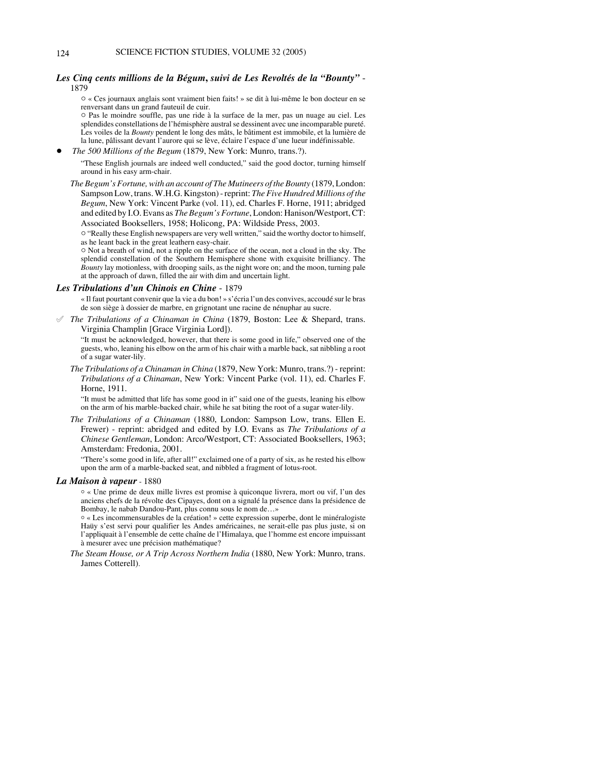# *Les Cinq cents millions de la Bégum***,** *suivi de Les Revoltés de la "Bounty"* - 1879

 $\circ$  « Ces journaux anglais sont vraiment bien faits! » se dit à lui-même le bon docteur en se renversant dans un grand fauteuil de cuir.

" Pas le moindre souffle, pas une ride à la surface de la mer, pas un nuage au ciel. Les splendides constellations de l'hémisphère austral se dessinent avec une incomparable pureté. Les voiles de la *Bounty* pendent le long des mâts, le bâtiment est immobile, et la lumière de la lune, pâlissant devant l'aurore qui se lève, éclaire l'espace d'une lueur indéfinissable.

! *The 500 Millions of the Begum* (1879, New York: Munro, trans.?).

"These English journals are indeed well conducted," said the good doctor, turning himself around in his easy arm-chair.

*The Begum's Fortune, with an account of The Mutineers of the Bounty* (1879, London: Sampson Low, trans. W.H.G. Kingston) - reprint: *The Five Hundred Millions of the Begum*, New York: Vincent Parke (vol. 11), ed. Charles F. Horne, 1911; abridged and edited by I.O. Evans as *The Begum's Fortune*, London: Hanison/Westport, CT: Associated Booksellers, 1958; Holicong, PA: Wildside Press, 2003.

 $\circ$  "Really these English newspapers are very well written," said the worthy doctor to himself, as he leant back in the great leathern easy-chair.

 $\circ$  Not a breath of wind, not a ripple on the surface of the ocean, not a cloud in the sky. The splendid constellation of the Southern Hemisphere shone with exquisite brilliancy. The *Bounty* lay motionless, with drooping sails, as the night wore on; and the moon, turning pale at the approach of dawn, filled the air with dim and uncertain light.

# *Les Tribulations d'un Chinois en Chine* - 1879

« Il faut pourtant convenir que la vie a du bon! » s'écria l'un des convives, accoudé sur le bras de son siège à dossier de marbre, en grignotant une racine de nénuphar au sucre.

° *The Tribulations of a Chinaman in China* (1879, Boston: Lee & Shepard, trans. Virginia Champlin [Grace Virginia Lord]).

"It must be acknowledged, however, that there is some good in life," observed one of the guests, who, leaning his elbow on the arm of his chair with a marble back, sat nibbling a root of a sugar water-lily.

*The Tribulations of a Chinaman in China* (1879, New York: Munro, trans.?) - reprint: *Tribulations of a Chinaman*, New York: Vincent Parke (vol. 11), ed. Charles F. Horne, 1911.

"It must be admitted that life has some good in it" said one of the guests, leaning his elbow on the arm of his marble-backed chair, while he sat biting the root of a sugar water-lily.

*The Tribulations of a Chinaman* (1880, London: Sampson Low, trans. Ellen E. Frewer) - reprint: abridged and edited by I.O. Evans as *The Tribulations of a Chinese Gentleman*, London: Arco/Westport, CT: Associated Booksellers, 1963; Amsterdam: Fredonia, 2001.

"There's some good in life, after all!" exclaimed one of a party of six, as he rested his elbow upon the arm of a marble-backed seat, and nibbled a fragment of lotus-root.

## *La Maison à vapeur* - 1880

 $\circ$  « Une prime de deux mille livres est promise à quiconque livrera, mort ou vif, l'un des anciens chefs de la révolte des Cipayes, dont on a signalé la présence dans la présidence de Bombay, le nabab Dandou-Pant, plus connu sous le nom de…»

 $\circ$  « Les incommensurables de la création! » cette expression superbe, dont le minéralogiste Haüy s'est servi pour qualifier les Andes américaines, ne serait-elle pas plus juste, si on l'appliquait à l'ensemble de cette chaîne de l'Himalaya, que l'homme est encore impuissant à mesurer avec une précision mathématique?

*The Steam House, or A Trip Across Northern India* (1880, New York: Munro, trans. James Cotterell).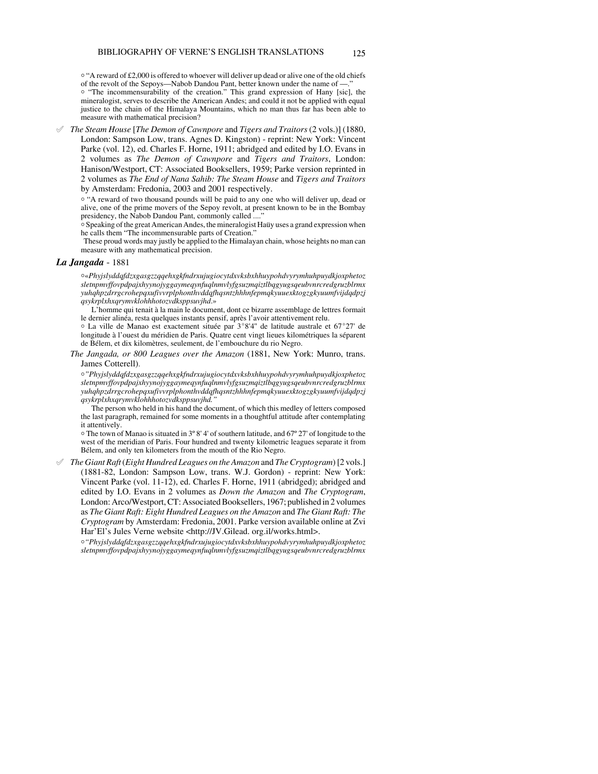<sup>o</sup> "A reward of £2,000 is offered to whoever will deliver up dead or alive one of the old chiefs of the revolt of the Sepoys—Nabob Dandou Pant, better known under the name of —."

<sup>o</sup> "The incommensurability of the creation." This grand expression of Hany [sic], the mineralogist, serves to describe the American Andes; and could it not be applied with equal justice to the chain of the Himalaya Mountains, which no man thus far has been able to measure with mathematical precision?

° *The Steam House* [*The Demon of Cawnpore* and *Tigers and Traitors* (2 vols.)] (1880, London: Sampson Low, trans. Agnes D. Kingston) - reprint: New York: Vincent Parke (vol. 12), ed. Charles F. Horne, 1911; abridged and edited by I.O. Evans in 2 volumes as *The Demon of Cawnpore* and *Tigers and Traitors*, London: Hanison/Westport, CT: Associated Booksellers, 1959; Parke version reprinted in 2 volumes as *The End of Nana Sahib: The Steam House* and *Tigers and Traitors* by Amsterdam: Fredonia, 2003 and 2001 respectively.

<sup>o</sup> "A reward of two thousand pounds will be paid to any one who will deliver up, dead or alive, one of the prime movers of the Sepoy revolt, at present known to be in the Bombay presidency, the Nabob Dandou Pant, commonly called ....

<sup>o</sup> Speaking of the great American Andes, the mineralogist Haüy uses a grand expression when he calls them "The incommensurable parts of Creation."

 These proud words may justly be applied to the Himalayan chain, whose heights no man can measure with any mathematical precision.

# *La Jangada* - 1881

N«*Phyjslyddqfdzxgasgzzqqehxgkfndrxujugiocytdxvksbxhhuypohdvyrymhuhpuydkjoxphetoz sletnpmvffovpdpajxhyynojyggaymeqynfuqlnmvlyfgsuzmqiztlbqgyugsqeubvnrcredgruzblrmx yuhqhpzdrrgcrohepqxufivvrplphonthvddqfhqsntzhhhnfepmqkyuuexktogzgkyuumfvijdqdpzj qsykrplxhxqrymvklohhhotozvdksppsuvjhd*.»

L'homme qui tenait à la main le document, dont ce bizarre assemblage de lettres formait le dernier alinéa, resta quelques instants pensif, après l'avoir attentivement relu.

o La ville de Manao est exactement située par 3°8'4" de latitude australe et 67°27' de longitude à l'ouest du méridien de Paris. Quatre cent vingt lieues kilométriques la séparent de Bélem, et dix kilomètres, seulement, de l'embouchure du rio Negro.

*The Jangada, or 800 Leagues over the Amazon* (1881, New York: Munro, trans. James Cotterell).

N*"Phyjslyddqfdzxgasgzzqqehxgkfndrxujugiocytdxvksbxhhuypohdvyrymhuhpuydkjoxphetoz sletnpmvffovpdpajxhyynojyggaymeqynfuqlnmvlyfgsuzmqiztlbqgyugsqeubvnrcredgruzblrmx yuhqhpzdrrgcrohepqxufivvrplphonthvddqfhqsntzhhhnfepmqkyuuexktogzgkyuumfvijdqdpzj qsykrplxhxqrymvklohhhotozvdksppsuvjhd."*

The person who held in his hand the document, of which this medley of letters composed the last paragraph, remained for some moments in a thoughtful attitude after contemplating it attentively.

N The town of Manao is situated in 3º 8' 4' of southern latitude, and 67º 27' of longitude to the west of the meridian of Paris. Four hundred and twenty kilometric leagues separate it from Bélem, and only ten kilometers from the mouth of the Rio Negro.

° *The Giant Raft* (*Eight Hundred Leagues on the Amazon* and *The Cryptogram*) [2 vols.] (1881-82, London: Sampson Low, trans. W.J. Gordon) - reprint: New York: Vincent Parke (vol. 11-12), ed. Charles F. Horne, 1911 (abridged); abridged and edited by I.O. Evans in 2 volumes as *Down the Amazon* and *The Cryptogram*, London: Arco/Westport, CT: Associated Booksellers, 1967; published in 2 volumes as *The Giant Raft: Eight Hundred Leagues on the Amazon* and *The Giant Raft: The Cryptogram* by Amsterdam: Fredonia, 2001. Parke version available online at Zvi Har'El's Jules Verne website <http://JV.Gilead. org.il/works.html>.

N*"Phyjslyddqfdzxgasgzzqqehxgkfndrxujugiocytdxvksbxhhuypohdvyrymhuhpuydkjoxphetoz sletnpmvffovpdpajxhyynojyggaymeqynfuqlnmvlyfgsuzmqiztlbqgyugsqeubvnrcredgruzblrmx*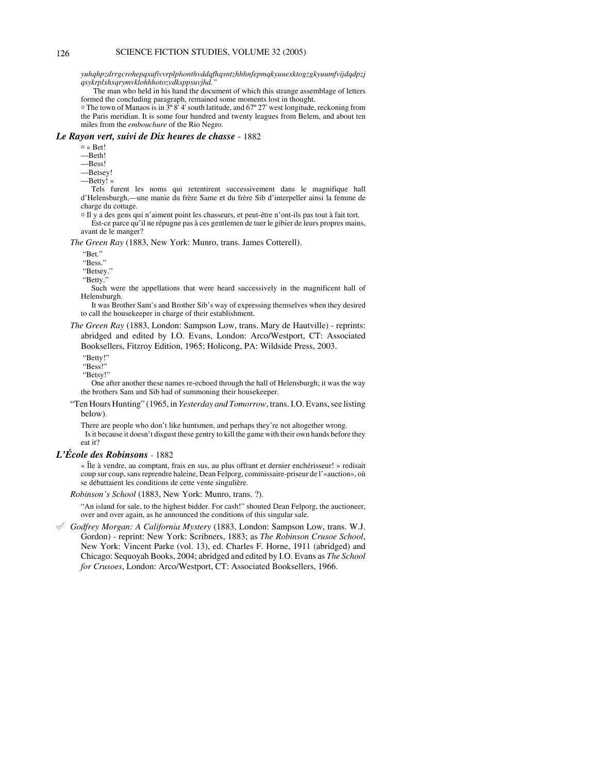*yuhqhpzdrrgcrohepqxufivvrplphonthvddqfhqsntzhhhnfepmqkyuuexktogzgkyuumfvijdqdpzj qsykrplxhxqrymvklohhhotozvdksppsuvjhd."*

 The man who held in his hand the document of which this strange assemblage of letters formed the concluding paragraph, remained some moments lost in thought.

 $\circ$  The town of Manaos is in  $3^{\circ} 8^{\circ} 4'$  south latitude, and 67° 27' west longitude, reckoning from the Paris meridian. It is some four hundred and twenty leagues from Belem, and about ten miles from the *embouchure* of the Rio Negro.

#### *Le Rayon vert, suivi de Dix heures de chasse* - 1882

 $\circ$  < Bet!

—Beth!

—Bess!

—Betsey!

—Betty! »

Tels furent les noms qui retentirent successivement dans le magnifique hall d'Helensburgh,—une manie du frère Same et du frère Sib d'interpeller ainsi la femme de charge du cottage.

N Il y a des gens qui n'aiment point les chasseurs, et peut-être n'ont-ils pas tout à fait tort. Est-ce parce qu'il ne répugne pas à ces gentlemen de tuer le gibier de leurs propres mains, avant de le manger?

*The Green Ray* (1883, New York: Munro, trans. James Cotterell).

"Bet."

"Bess."

"Betsey."

"Betty."

Such were the appellations that were heard successively in the magnificent hall of Helensburgh.

It was Brother Sam's and Brother Sib's way of expressing themselves when they desired to call the housekeeper in charge of their establishment.

*The Green Ray* (1883, London: Sampson Low, trans. Mary de Hautville) - reprints: abridged and edited by I.O. Evans, London: Arco/Westport, CT: Associated Booksellers, Fitzroy Edition, 1965; Holicong, PA: Wildside Press, 2003.

"Betty!"

"Bess!"

"Betsy!"

One after another these names re-echoed through the hall of Helensburgh; it was the way the brothers Sam and Sib had of summoning their housekeeper.

"Ten Hours Hunting" (1965, in *Yesterday and Tomorrow*, trans. I.O. Evans, see listing below).

There are people who don't like huntsmen, and perhaps they're not altogether wrong. Is it because it doesn't disgust these gentry to kill the game with their own hands before they eat it?

# *L'École des Robinsons* - 1882

« Île à vendre, au comptant, frais en sus, au plus offrant et dernier enchérisseur! » redisait coup sur coup, sans reprendre haleine, Dean Felporg, commissaire-priseur de l'«auction», où se débattaient les conditions de cette vente singulière.

*Robinson's School* (1883, New York: Munro, trans. ?).

"An island for sale, to the highest bidder. For cash!" shouted Dean Felporg, the auctioneer, over and over again, as he announced the conditions of this singular sale.

° *Godfrey Morgan: A California Mystery* (1883, London: Sampson Low, trans. W.J. Gordon) - reprint: New York: Scribners, 1883; as *The Robinson Crusoe School*, New York: Vincent Parke (vol. 13), ed. Charles F. Horne, 1911 (abridged) and Chicago: Sequoyah Books, 2004; abridged and edited by I.O. Evans as *The School for Crusoes*, London: Arco/Westport, CT: Associated Booksellers, 1966.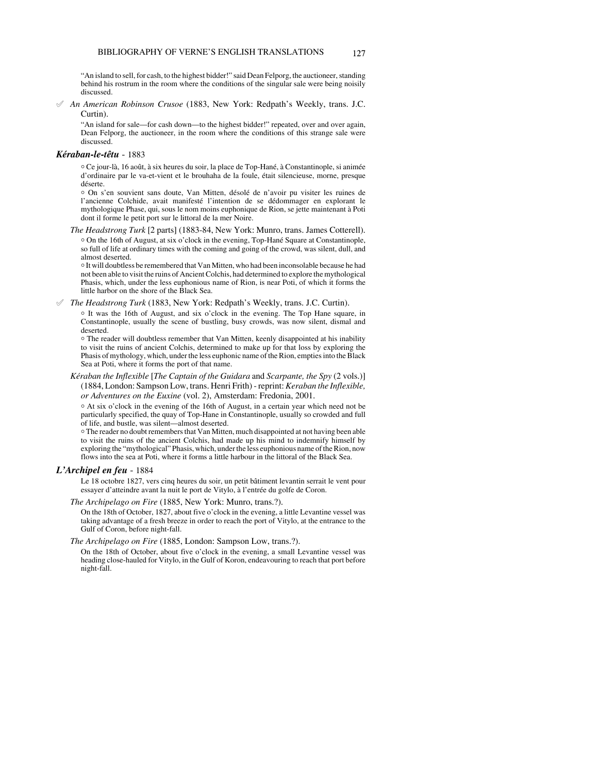"An island to sell, for cash, to the highest bidder!" said Dean Felporg, the auctioneer, standing behind his rostrum in the room where the conditions of the singular sale were being noisily discussed.

° *An American Robinson Crusoe* (1883, New York: Redpath's Weekly, trans. J.C. Curtin).

"An island for sale—for cash down—to the highest bidder!" repeated, over and over again, Dean Felporg, the auctioneer, in the room where the conditions of this strange sale were discussed.

# *Kéraban-le-têtu* - 1883

N Ce jour-là, 16 août, à six heures du soir, la place de Top-Hané, à Constantinople, si animée d'ordinaire par le va-et-vient et le brouhaha de la foule, était silencieuse, morne, presque déserte.

o On s'en souvient sans doute, Van Mitten, désolé de n'avoir pu visiter les ruines de l'ancienne Colchide, avait manifesté l'intention de se dédommager en explorant le mythologique Phase, qui, sous le nom moins euphonique de Rion, se jette maintenant à Poti dont il forme le petit port sur le littoral de la mer Noire.

*The Headstrong Turk* [2 parts] (1883-84, New York: Munro, trans. James Cotterell). <sup>o</sup> On the 16th of August, at six o'clock in the evening, Top-Hané Square at Constantinople, so full of life at ordinary times with the coming and going of the crowd, was silent, dull, and almost deserted.

N It will doubtless be remembered that Van Mitten, who had been inconsolable because he had not been able to visit the ruins of Ancient Colchis, had determined to explore the mythological Phasis, which, under the less euphonious name of Rion, is near Poti, of which it forms the little harbor on the shore of the Black Sea.

° *The Headstrong Turk* (1883, New York: Redpath's Weekly, trans. J.C. Curtin).

o It was the 16th of August, and six o'clock in the evening. The Top Hane square, in Constantinople, usually the scene of bustling, busy crowds, was now silent, dismal and deserted.

<sup>1</sup> The reader will doubtless remember that Van Mitten, keenly disappointed at his inability to visit the ruins of ancient Colchis, determined to make up for that loss by exploring the Phasis of mythology, which, under the less euphonic name of the Rion, empties into the Black Sea at Poti, where it forms the port of that name.

*Kéraban the Inflexible* [*The Captain of the Guidara* and *Scarpante, the Spy* (2 vols.)] (1884, London: Sampson Low, trans. Henri Frith) - reprint: *Keraban the Inflexible, or Adventures on the Euxine* (vol. 2), Amsterdam: Fredonia, 2001.

 $\circ$  At six o'clock in the evening of the 16th of August, in a certain year which need not be particularly specified, the quay of Top-Hane in Constantinople, usually so crowded and full of life, and bustle, was silent—almost deserted.

 $\circ$  The reader no doubt remembers that Van Mitten, much disappointed at not having been able to visit the ruins of the ancient Colchis, had made up his mind to indemnify himself by exploring the "mythological" Phasis, which, under the less euphonious name of the Rion, now flows into the sea at Poti, where it forms a little harbour in the littoral of the Black Sea.

## *L'Archipel en feu* - 1884

Le 18 octobre 1827, vers cinq heures du soir, un petit bâtiment levantin serrait le vent pour essayer d'atteindre avant la nuit le port de Vitylo, à l'entrée du golfe de Coron.

*The Archipelago on Fire* (1885, New York: Munro, trans.?).

On the 18th of October, 1827, about five o'clock in the evening, a little Levantine vessel was taking advantage of a fresh breeze in order to reach the port of Vitylo, at the entrance to the Gulf of Coron, before night-fall.

*The Archipelago on Fire* (1885, London: Sampson Low, trans.?).

On the 18th of October, about five o'clock in the evening, a small Levantine vessel was heading close-hauled for Vitylo, in the Gulf of Koron, endeavouring to reach that port before night-fall.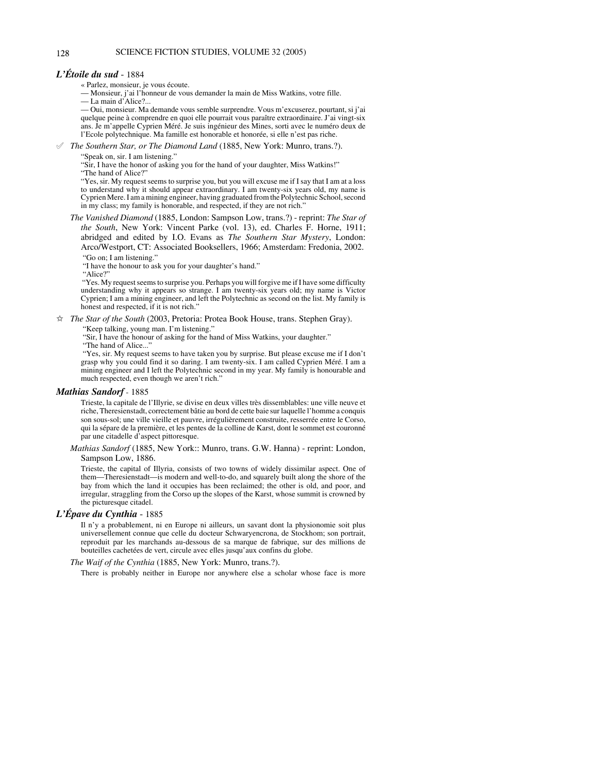# 128 SCIENCE FICTION STUDIES, VOLUME 32 (2005)

# *L'Étoile du sud* - 1884

« Parlez, monsieur, je vous écoute.

— Monsieur, j'ai l'honneur de vous demander la main de Miss Watkins, votre fille.

— La main d'Alice?...

— Oui, monsieur. Ma demande vous semble surprendre. Vous m'excuserez, pourtant, si j'ai quelque peine à comprendre en quoi elle pourrait vous paraître extraordinaire. J'ai vingt-six ans. Je m'appelle Cyprien Méré. Je suis ingénieur des Mines, sorti avec le numéro deux de l'Ecole polytechnique. Ma famille est honorable et honorée, si elle n'est pas riche.

° *The Southern Star, or The Diamond Land* (1885, New York: Munro, trans.?).

"Speak on, sir. I am listening."

"Sir, I have the honor of asking you for the hand of your daughter, Miss Watkins!"

"The hand of Alice?"

"Yes, sir. My request seems to surprise you, but you will excuse me if I say that I am at a loss to understand why it should appear extraordinary. I am twenty-six years old, my name is Cyprien Mere. I am a mining engineer, having graduated from the Polytechnic School, second in my class; my family is honorable, and respected, if they are not rich."

*The Vanished Diamond* (1885, London: Sampson Low, trans.?) - reprint: *The Star of the South*, New York: Vincent Parke (vol. 13), ed. Charles F. Horne, 1911; abridged and edited by I.O. Evans as *The Southern Star Mystery*, London: Arco/Westport, CT: Associated Booksellers, 1966; Amsterdam: Fredonia, 2002. "Go on; I am listening."

"I have the honour to ask you for your daughter's hand."

"Alice?"

 "Yes. My request seems to surprise you. Perhaps you will forgive me if I have some difficulty understanding why it appears so strange. I am twenty-six years old; my name is Victor Cyprien; I am a mining engineer, and left the Polytechnic as second on the list. My family is honest and respected, if it is not rich."

 $\hat{\varphi}$  *The Star of the South* (2003, Pretoria: Protea Book House, trans. Stephen Gray).

"Keep talking, young man. I'm listening."

"Sir, I have the honour of asking for the hand of Miss Watkins, your daughter."

"The hand of Alice..."

 "Yes, sir. My request seems to have taken you by surprise. But please excuse me if I don't grasp why you could find it so daring. I am twenty-six. I am called Cyprien Méré. I am a mining engineer and I left the Polytechnic second in my year. My family is honourable and much respected, even though we aren't rich."

#### *Mathias Sandorf* - 1885

Trieste, la capitale de l'Illyrie, se divise en deux villes très dissemblables: une ville neuve et riche, Theresienstadt, correctement bâtie au bord de cette baie sur laquelle l'homme a conquis son sous-sol; une ville vieille et pauvre, irrégulièrement construite, resserrée entre le Corso, qui la sépare de la première, et les pentes de la colline de Karst, dont le sommet est couronné par une citadelle d'aspect pittoresque.

*Mathias Sandorf* (1885, New York:: Munro, trans. G.W. Hanna) - reprint: London, Sampson Low, 1886.

Trieste, the capital of Illyria, consists of two towns of widely dissimilar aspect. One of them—Theresienstadt—is modern and well-to-do, and squarely built along the shore of the bay from which the land it occupies has been reclaimed; the other is old, and poor, and irregular, straggling from the Corso up the slopes of the Karst, whose summit is crowned by the picturesque citadel.

# *L'Épave du Cynthia* - 1885

Il n'y a probablement, ni en Europe ni ailleurs, un savant dont la physionomie soit plus universellement connue que celle du docteur Schwaryencrona, de Stockhom; son portrait, reproduit par les marchands au-dessous de sa marque de fabrique, sur des millions de bouteilles cachetées de vert, circule avec elles jusqu'aux confins du globe.

#### *The Waif of the Cynthia* (1885, New York: Munro, trans.?).

There is probably neither in Europe nor anywhere else a scholar whose face is more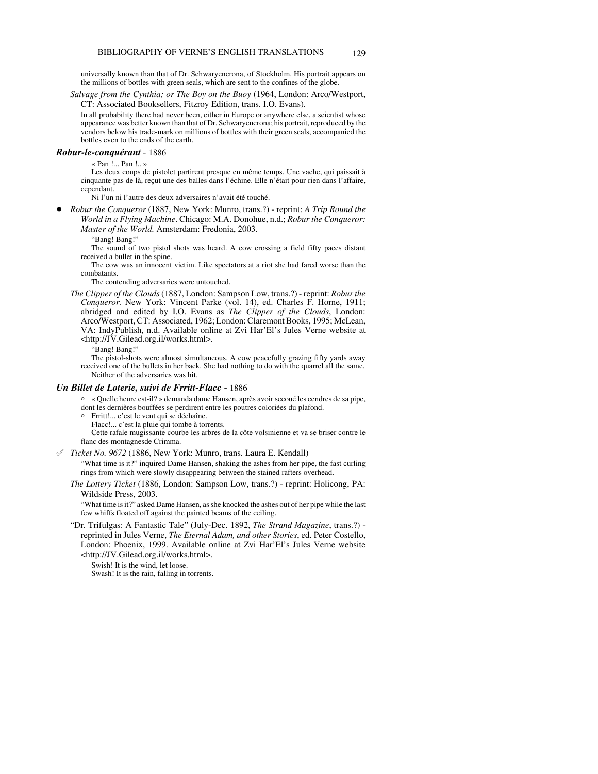universally known than that of Dr. Schwaryencrona, of Stockholm. His portrait appears on the millions of bottles with green seals, which are sent to the confines of the globe.

*Salvage from the Cynthia; or The Boy on the Buoy* (1964, London: Arco/Westport, CT: Associated Booksellers, Fitzroy Edition, trans. I.O. Evans).

In all probability there had never been, either in Europe or anywhere else, a scientist whose appearance was better known than that of Dr. Schwaryencrona; his portrait, reproduced by the vendors below his trade-mark on millions of bottles with their green seals, accompanied the bottles even to the ends of the earth.

# *Robur-le-conquérant* - 1886

« Pan !... Pan !.. »

Les deux coups de pistolet partirent presque en même temps. Une vache, qui paissait à cinquante pas de là, reçut une des balles dans l'échine. Elle n'était pour rien dans l'affaire, cependant.

Ni l'un ni l'autre des deux adversaires n'avait été touché.

! *Robur the Conqueror* (1887, New York: Munro, trans.?) - reprint: *A Trip Round the World in a Flying Machine*. Chicago: M.A. Donohue, n.d.; *Robur the Conqueror: Master of the World.* Amsterdam: Fredonia, 2003.

"Bang! Bang!"

The sound of two pistol shots was heard. A cow crossing a field fifty paces distant received a bullet in the spine.

The cow was an innocent victim. Like spectators at a riot she had fared worse than the combatants.

The contending adversaries were untouched.

*The Clipper of the Clouds* (1887, London: Sampson Low, trans.?) - reprint: *Robur the Conqueror.* New York: Vincent Parke (vol. 14), ed. Charles F. Horne, 1911; abridged and edited by I.O. Evans as *The Clipper of the Clouds*, London: Arco/Westport, CT: Associated, 1962; London: Claremont Books, 1995; McLean, VA: IndyPublish, n.d. Available online at Zvi Har'El's Jules Verne website at <http://JV.Gilead.org.il/works.html>.

"Bang! Bang!"

The pistol-shots were almost simultaneous. A cow peacefully grazing fifty yards away received one of the bullets in her back. She had nothing to do with the quarrel all the same. Neither of the adversaries was hit.

#### *Un Billet de Loterie, suivi de Frritt-Flacc* - 1886

N « Quelle heure est-il? » demanda dame Hansen, après avoir secoué les cendres de sa pipe, dont les dernières bouffées se perdirent entre les poutres coloriées du plafond.

N Frritt!... c'est le vent qui se déchaîne.

Flacc!... c'est la pluie qui tombe à torrents.

Cette rafale mugissante courbe les arbres de la côte volsinienne et va se briser contre le flanc des montagnesde Crimma.

 $\mathcal I$  *Ticket No.* 9672 (1886, New York: Munro, trans. Laura E. Kendall)

"What time is it?" inquired Dame Hansen, shaking the ashes from her pipe, the fast curling rings from which were slowly disappearing between the stained rafters overhead.

*The Lottery Ticket* (1886, London: Sampson Low, trans.?) - reprint: Holicong, PA: Wildside Press, 2003.

"What time is it?" asked Dame Hansen, as she knocked the ashes out of her pipe while the last few whiffs floated off against the painted beams of the ceiling.

"Dr. Trifulgas: A Fantastic Tale" (July-Dec. 1892, *The Strand Magazine*, trans.?) reprinted in Jules Verne, *The Eternal Adam, and other Stories*, ed. Peter Costello, London: Phoenix, 1999. Available online at Zvi Har'El's Jules Verne website <http://JV.Gilead.org.il/works.html>.

Swish! It is the wind, let loose.

Swash! It is the rain, falling in torrents.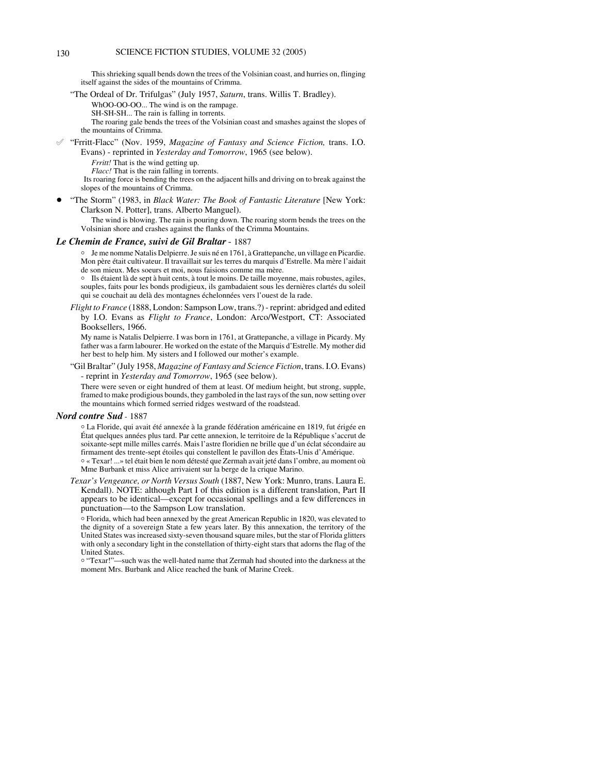This shrieking squall bends down the trees of the Volsinian coast, and hurries on, flinging itself against the sides of the mountains of Crimma.

"The Ordeal of Dr. Trifulgas" (July 1957, *Saturn*, trans. Willis T. Bradley).

WhOO-OO-OO... The wind is on the rampage.

SH-SH-SH... The rain is falling in torrents.

The roaring gale bends the trees of the Volsinian coast and smashes against the slopes of the mountains of Crimma.

° "Frritt-Flacc" (Nov. 1959, *Magazine of Fantasy and Science Fiction,* trans. I.O. Evans) - reprinted in *Yesterday and Tomorrow*, 1965 (see below).

*Frritt!* That is the wind getting up.

*Flacc!* That is the rain falling in torrents.

 Its roaring force is bending the trees on the adjacent hills and driving on to break against the slopes of the mountains of Crimma.

! "The Storm" (1983, in *Black Water: The Book of Fantastic Literature* [New York: Clarkson N. Potter], trans. Alberto Manguel).

The wind is blowing. The rain is pouring down. The roaring storm bends the trees on the Volsinian shore and crashes against the flanks of the Crimma Mountains.

#### *Le Chemin de France, suivi de Gil Braltar*- 1887

<sup>o</sup> Je me nomme Natalis Delpierre. Je suis né en 1761, à Grattepanche, un village en Picardie. Mon père était cultivateur. Il travaillait sur les terres du marquis d'Estrelle. Ma mère l'aidait de son mieux. Mes soeurs et moi, nous faisions comme ma mère.

<sup>o</sup> Ils étaient là de sept à huit cents, à tout le moins. De taille moyenne, mais robustes, agiles, souples, faits pour les bonds prodigieux, ils gambadaient sous les dernières clartés du soleil qui se couchait au delà des montagnes échelonnées vers l'ouest de la rade.

*Flight to France* (1888, London: Sampson Low, trans.?) - reprint: abridged and edited by I.O. Evans as *Flight to France*, London: Arco/Westport, CT: Associated Booksellers, 1966.

My name is Natalis Delpierre. I was born in 1761, at Grattepanche, a village in Picardy. My father was a farm labourer. He worked on the estate of the Marquis d'Estrelle. My mother did her best to help him. My sisters and I followed our mother's example.

"Gil Braltar" (July 1958, *Magazine of Fantasy and Science Fiction*, trans. I.O. Evans) - reprint in *Yesterday and Tomorrow*, 1965 (see below).

There were seven or eight hundred of them at least. Of medium height, but strong, supple, framed to make prodigious bounds, they gamboled in the last rays of the sun, now setting over the mountains which formed serried ridges westward of the roadstead.

# *Nord contre Sud* - 1887

N La Floride, qui avait été annexée à la grande fédération américaine en 1819, fut érigée en État quelques années plus tard. Par cette annexion, le territoire de la République s'accrut de soixante-sept mille milles carrés. Mais l'astre floridien ne brille que d'un éclat sécondaire au firmament des trente-sept étoiles qui constellent le pavillon des États-Unis d'Amérique. N « Texar! ...» tel était bien le nom détesté que Zermah avait jeté dans l'ombre, au moment où

Mme Burbank et miss Alice arrivaient sur la berge de la crique Marino.

*Texar's Vengeance, or North Versus South* (1887, New York: Munro, trans. Laura E. Kendall). NOTE: although Part I of this edition is a different translation, Part II appears to be identical—except for occasional spellings and a few differences in punctuation—to the Sampson Low translation.

N Florida, which had been annexed by the great American Republic in 1820, was elevated to the dignity of a sovereign State a few years later. By this annexation, the territory of the United States was increased sixty-seven thousand square miles, but the star of Florida glitters with only a secondary light in the constellation of thirty-eight stars that adorns the flag of the United States.

o "Texar!"—such was the well-hated name that Zermah had shouted into the darkness at the moment Mrs. Burbank and Alice reached the bank of Marine Creek.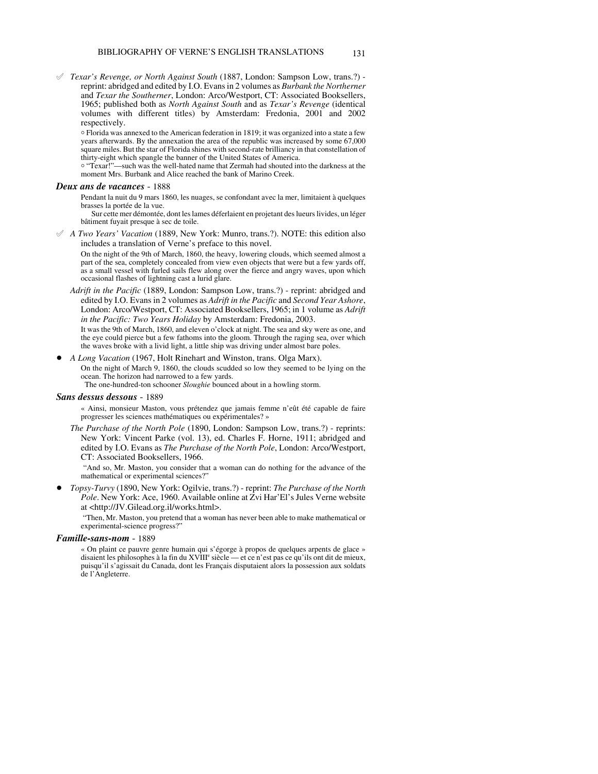° *Texar's Revenge, or North Against South* (1887, London: Sampson Low, trans.?) reprint: abridged and edited by I.O. Evans in 2 volumes as *Burbank the Northerner* and *Texar the Southerner*, London: Arco/Westport, CT: Associated Booksellers, 1965; published both as *North Against South* and as *Texar's Revenge* (identical volumes with different titles) by Amsterdam: Fredonia, 2001 and 2002 respectively.

 $\circ$  Florida was annexed to the American federation in 1819; it was organized into a state a few years afterwards. By the annexation the area of the republic was increased by some 67,000 square miles. But the star of Florida shines with second-rate brilliancy in that constellation of thirty-eight which spangle the banner of the United States of America.

o "Texar!"—such was the well-hated name that Zermah had shouted into the darkness at the moment Mrs. Burbank and Alice reached the bank of Marino Creek.

#### *Deux ans de vacances* - 1888

Pendant la nuit du 9 mars 1860, les nuages, se confondant avec la mer, limitaient à quelques brasses la portée de la vue.

Sur cette mer démontée, dont les lames déferlaient en projetant des lueurs livides, un léger bâtiment fuyait presque à sec de toile.

° *A Two Years' Vacation* (1889, New York: Munro, trans.?). NOTE: this edition also includes a translation of Verne's preface to this novel.

On the night of the 9th of March, 1860, the heavy, lowering clouds, which seemed almost a part of the sea, completely concealed from view even objects that were but a few yards off, as a small vessel with furled sails flew along over the fierce and angry waves, upon which occasional flashes of lightning cast a lurid glare.

*Adrift in the Pacific* (1889, London: Sampson Low, trans.?) - reprint: abridged and edited by I.O. Evans in 2 volumes as *Adrift in the Pacific* and *Second Year Ashore*, London: Arco/Westport, CT: Associated Booksellers, 1965; in 1 volume as *Adrift in the Pacific: Two Years Holiday* by Amsterdam: Fredonia, 2003.

It was the 9th of March, 1860, and eleven o'clock at night. The sea and sky were as one, and the eye could pierce but a few fathoms into the gloom. Through the raging sea, over which the waves broke with a livid light, a little ship was driving under almost bare poles.

! *A Long Vacation* (1967, Holt Rinehart and Winston, trans. Olga Marx).

On the night of March 9, 1860, the clouds scudded so low they seemed to be lying on the ocean. The horizon had narrowed to a few yards.

The one-hundred-ton schooner *Sloughie* bounced about in a howling storm.

#### *Sans dessus dessous* - 1889

« Ainsi, monsieur Maston, vous prétendez que jamais femme n'eût été capable de faire progresser les sciences mathématiques ou expérimentales? »

*The Purchase of the North Pole* (1890, London: Sampson Low, trans.?) - reprints: New York: Vincent Parke (vol. 13), ed. Charles F. Horne, 1911; abridged and edited by I.O. Evans as *The Purchase of the North Pole*, London: Arco/Westport, CT: Associated Booksellers, 1966.

 "And so, Mr. Maston, you consider that a woman can do nothing for the advance of the mathematical or experimental sciences?"

! *Topsy-Turvy* (1890, New York: Ogilvie, trans.?) - reprint: *The Purchase of the North Pole*. New York: Ace, 1960. Available online at Zvi Har'El's Jules Verne website at <http://JV.Gilead.org.il/works.html>.

"Then, Mr. Maston, you pretend that a woman has never been able to make mathematical or experimental-science progress?"

#### *Famille-sans-nom* - 1889

« On plaint ce pauvre genre humain qui s'égorge à propos de quelques arpents de glace » disaient les philosophes à la fin du XVIII<sup>e</sup> siècle — et ce n'est pas ce qu'ils ont dit de mieux, puisqu'il s'agissait du Canada, dont les Français disputaient alors la possession aux soldats de l'Angleterre.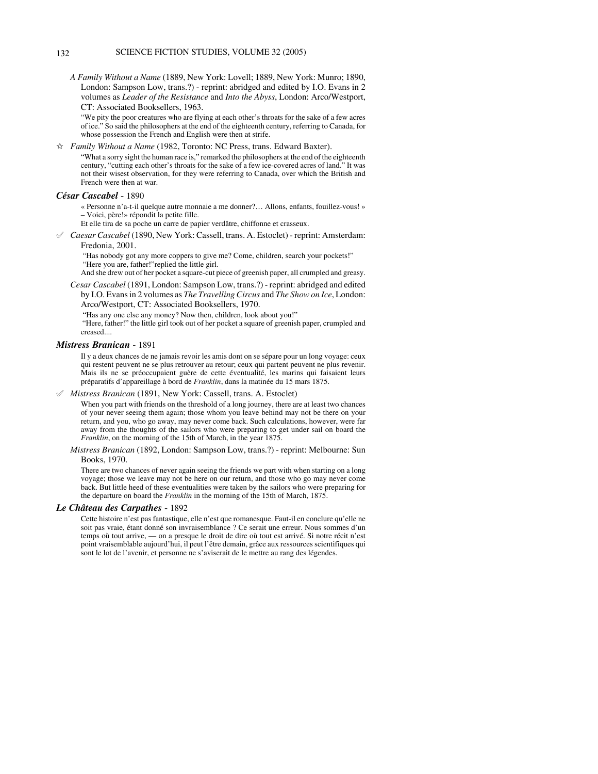*A Family Without a Name* (1889, New York: Lovell; 1889, New York: Munro; 1890, London: Sampson Low, trans.?) - reprint: abridged and edited by I.O. Evans in 2 volumes as *Leader of the Resistance* and *Into the Abyss*, London: Arco/Westport, CT: Associated Booksellers, 1963.

"We pity the poor creatures who are flying at each other's throats for the sake of a few acres of ice." So said the philosophers at the end of the eighteenth century, referring to Canada, for whose possession the French and English were then at strife.

 $\hat{\varphi}$  *Family Without a Name* (1982, Toronto: NC Press, trans. Edward Baxter).

"What a sorry sight the human race is," remarked the philosophers at the end of the eighteenth century, "cutting each other's throats for the sake of a few ice-covered acres of land." It was not their wisest observation, for they were referring to Canada, over which the British and French were then at war.

### *César Cascabel* - 1890

« Personne n'a-t-il quelque autre monnaie a me donner?… Allons, enfants, fouillez-vous! » – Voici, père!» répondit la petite fille.

Et elle tira de sa poche un carre de papier verdâtre, chiffonne et crasseux.

° *Caesar Cascabel* (1890, New York: Cassell, trans. A. Estoclet) - reprint: Amsterdam: Fredonia, 2001.

 "Has nobody got any more coppers to give me? Come, children, search your pockets!" "Here you are, father!"replied the little girl.

And she drew out of her pocket a square-cut piece of greenish paper, all crumpled and greasy.

*Cesar Cascabel* (1891, London: Sampson Low, trans.?) - reprint: abridged and edited by I.O. Evans in 2 volumes as *The Travelling Circus* and *The Show on Ice*, London: Arco/Westport, CT: Associated Booksellers, 1970.

"Has any one else any money? Now then, children, look about you!"

"Here, father!" the little girl took out of her pocket a square of greenish paper, crumpled and creased....

## *Mistress Branican* - 1891

Il y a deux chances de ne jamais revoir les amis dont on se sépare pour un long voyage: ceux qui restent peuvent ne se plus retrouver au retour; ceux qui partent peuvent ne plus revenir. Mais ils ne se préoccupaient guère de cette éventualité, les marins qui faisaient leurs préparatifs d'appareillage à bord de *Franklin*, dans la matinée du 15 mars 1875.

° *Mistress Branican* (1891, New York: Cassell, trans. A. Estoclet)

When you part with friends on the threshold of a long journey, there are at least two chances of your never seeing them again; those whom you leave behind may not be there on your return, and you, who go away, may never come back. Such calculations, however, were far away from the thoughts of the sailors who were preparing to get under sail on board the *Franklin*, on the morning of the 15th of March, in the year 1875.

*Mistress Branican* (1892, London: Sampson Low, trans.?) - reprint: Melbourne: Sun Books, 1970.

There are two chances of never again seeing the friends we part with when starting on a long voyage; those we leave may not be here on our return, and those who go may never come back. But little heed of these eventualities were taken by the sailors who were preparing for the departure on board the *Franklin* in the morning of the 15th of March, 1875.

#### *Le Château des Carpathes* - 1892

Cette histoire n'est pas fantastique, elle n'est que romanesque. Faut-il en conclure qu'elle ne soit pas vraie, étant donné son invraisemblance ? Ce serait une erreur. Nous sommes d'un temps où tout arrive, — on a presque le droit de dire où tout est arrivé. Si notre récit n'est point vraisemblable aujourd'hui, il peut l'être demain, grâce aux ressources scientifiques qui sont le lot de l'avenir, et personne ne s'aviserait de le mettre au rang des légendes.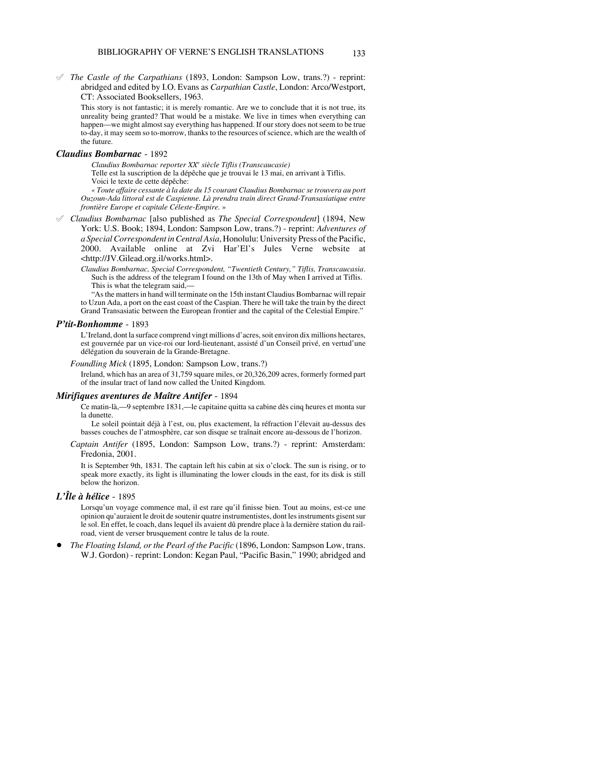° *The Castle of the Carpathians* (1893, London: Sampson Low, trans.?) - reprint: abridged and edited by I.O. Evans as *Carpathian Castle*, London: Arco/Westport, CT: Associated Booksellers, 1963.

This story is not fantastic; it is merely romantic. Are we to conclude that it is not true, its unreality being granted? That would be a mistake. We live in times when everything can happen—we might almost say everything has happened. If our story does not seem to be true to-day, it may seem so to-morrow, thanks to the resources of science, which are the wealth of the future.

#### *Claudius Bombarnac* - 1892

*Claudius Bombarnac reporter XXe siècle Tiflis (Transcaucasie)*

Telle est la suscription de la dépêche que je trouvai le 13 mai, en arrivant à Tiflis. Voici le texte de cette dépêche:

*« Toute affaire cessante à la date du 15 courant Claudius Bombarnac se trouvera au port Ouzoun-Ada littoral est de Caspienne. Là prendra train direct Grand-Transasiatique entre frontière Europe et capitale Céleste-Empire.* »

° *Claudius Bombarnac* [also published as *The Special Correspondent*] (1894, New York: U.S. Book; 1894, London: Sampson Low, trans.?) - reprint: *Adventures of a Special Correspondent in Central Asia*, Honolulu: University Press of the Pacific, 2000. Available online at Zvi Har'El's Jules Verne website at <http://JV.Gilead.org.il/works.html>.

*Claudius Bombarnac, Special Correspondent, "Twentieth Century," Tiflis, Transcaucasia*. Such is the address of the telegram I found on the 13th of May when I arrived at Tiflis. This is what the telegram said,—

"As the matters in hand will terminate on the 15th instant Claudius Bombarnac will repair to Uzun Ada, a port on the east coast of the Caspian. There he will take the train by the direct Grand Transasiatic between the European frontier and the capital of the Celestial Empire."

#### *P'tit-Bonhomme* - 1893

L'Ireland, dont la surface comprend vingt millions d'acres, soit environ dix millions hectares, est gouvernée par un vice-roi our lord-lieutenant, assisté d'un Conseil privé, en vertud'une délégation du souverain de la Grande-Bretagne.

*Foundling Mick* (1895, London: Sampson Low, trans.?)

Ireland, which has an area of 31,759 square miles, or 20,326,209 acres, formerly formed part of the insular tract of land now called the United Kingdom.

#### *Mirifiques aventures de Maître Antifer* - 1894

Ce matin-là,—9 septembre 1831,—le capitaine quitta sa cabine dès cinq heures et monta sur la dunette.

Le soleil pointait déjà à l'est, ou, plus exactement, la réfraction l'élevait au-dessus des basses couches de l'atmosphère, car son disque se traînait encore au-dessous de l'horizon.

*Captain Antifer* (1895, London: Sampson Low, trans.?) - reprint: Amsterdam: Fredonia, 2001.

It is September 9th, 1831. The captain left his cabin at six o'clock. The sun is rising, or to speak more exactly, its light is illuminating the lower clouds in the east, for its disk is still below the horizon.

# *L'Île à hélice* - 1895

Lorsqu'un voyage commence mal, il est rare qu'il finisse bien. Tout au moins, est-ce une opinion qu'auraient le droit de soutenir quatre instrumentistes, dont les instruments gisent sur le sol. En effet, le coach, dans lequel ils avaient dû prendre place à la dernière station du railroad, vient de verser brusquement contre le talus de la route.

! *The Floating Island, or the Pearl of the Pacific* (1896, London: Sampson Low, trans. W.J. Gordon) - reprint: London: Kegan Paul, "Pacific Basin," 1990; abridged and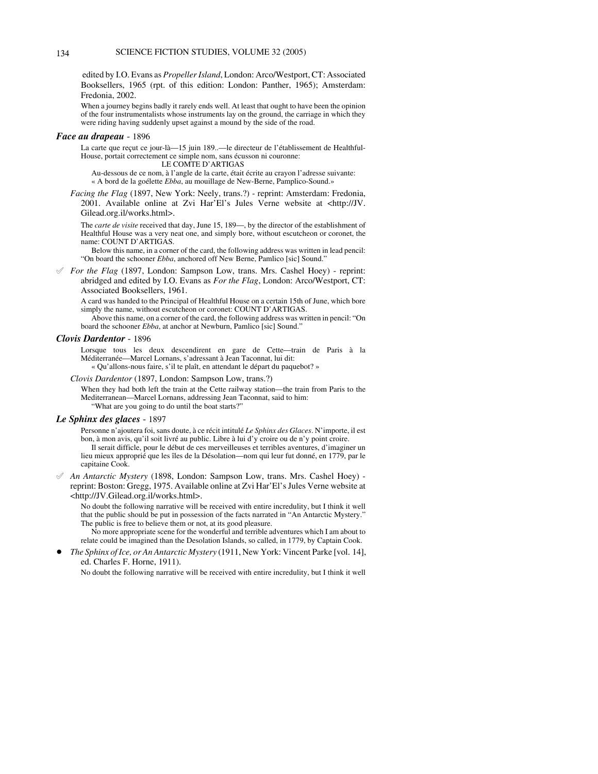edited by I.O. Evans as *Propeller Island*, London: Arco/Westport, CT: Associated Booksellers, 1965 (rpt. of this edition: London: Panther, 1965); Amsterdam: Fredonia, 2002.

When a journey begins badly it rarely ends well. At least that ought to have been the opinion of the four instrumentalists whose instruments lay on the ground, the carriage in which they were riding having suddenly upset against a mound by the side of the road.

#### *Face au drapeau* - 1896

La carte que recut ce jour-là—15 juin 189..—le directeur de l'établissement de Healthful-House, portait correctement ce simple nom, sans écusson ni couronne:

#### LE COMTE D'ARTIGAS

Au-dessous de ce nom, à l'angle de la carte, était écrite au crayon l'adresse suivante:

- « A bord de la goélette *Ebba*, au mouillage de New-Berne, Pamplico-Sound.»
- *Facing the Flag* (1897, New York: Neely, trans.?) reprint: Amsterdam: Fredonia, 2001. Available online at Zvi Har'El's Jules Verne website at <http://JV. Gilead.org.il/works.html>.

The *carte de visite* received that day, June 15, 189—, by the director of the establishment of Healthful House was a very neat one, and simply bore, without escutcheon or coronet, the name: COUNT D'ARTIGAS.

Below this name, in a corner of the card, the following address was written in lead pencil: "On board the schooner *Ebba*, anchored off New Berne, Pamlico [sic] Sound."

 $\mathscr S$  *For the Flag* (1897, London: Sampson Low, trans. Mrs. Cashel Hoey) - reprint: abridged and edited by I.O. Evans as *For the Flag*, London: Arco/Westport, CT: Associated Booksellers, 1961.

A card was handed to the Principal of Healthful House on a certain 15th of June, which bore simply the name, without escutcheon or coronet: COUNT D'ARTIGAS.

Above this name, on a corner of the card, the following address was written in pencil: "On board the schooner *Ebba*, at anchor at Newburn, Pamlico [sic] Sound."

#### *Clovis Dardentor* - 1896

Lorsque tous les deux descendirent en gare de Cette—train de Paris à la Méditerranée—Marcel Lornans, s'adressant à Jean Taconnat, lui dit: « Qu'allons-nous faire, s'il te plaît, en attendant le départ du paquebot? »

#### *Clovis Dardentor* (1897, London: Sampson Low, trans.?)

When they had both left the train at the Cette railway station—the train from Paris to the Mediterranean—Marcel Lornans, addressing Jean Taconnat, said to him: "What are you going to do until the boat starts?"

#### *Le Sphinx des glaces* - 1897

Personne n'ajoutera foi, sans doute, à ce récit intitulé *Le Sphinx des Glaces*. N'importe, il est bon, à mon avis, qu'il soit livré au public. Libre à lui d'y croire ou de n'y point croire. Il serait difficle, pour le début de ces merveilleuses et terribles aventures, d'imaginer un lieu mieux approprié que les îles de la Désolation—nom qui leur fut donné, en 1779, par le capitaine Cook.

° *An Antarctic Mystery* (1898, London: Sampson Low, trans. Mrs. Cashel Hoey) reprint: Boston: Gregg, 1975. Available online at Zvi Har'El's Jules Verne website at <http://JV.Gilead.org.il/works.html>.

No doubt the following narrative will be received with entire incredulity, but I think it well that the public should be put in possession of the facts narrated in "An Antarctic Mystery." The public is free to believe them or not, at its good pleasure.

No more appropriate scene for the wonderful and terrible adventures which I am about to relate could be imagined than the Desolation Islands, so called, in 1779, by Captain Cook.

! *The Sphinx of Ice, or An Antarctic Mystery* (1911, New York: Vincent Parke [vol. 14], ed. Charles F. Horne, 1911).

No doubt the following narrative will be received with entire incredulity, but I think it well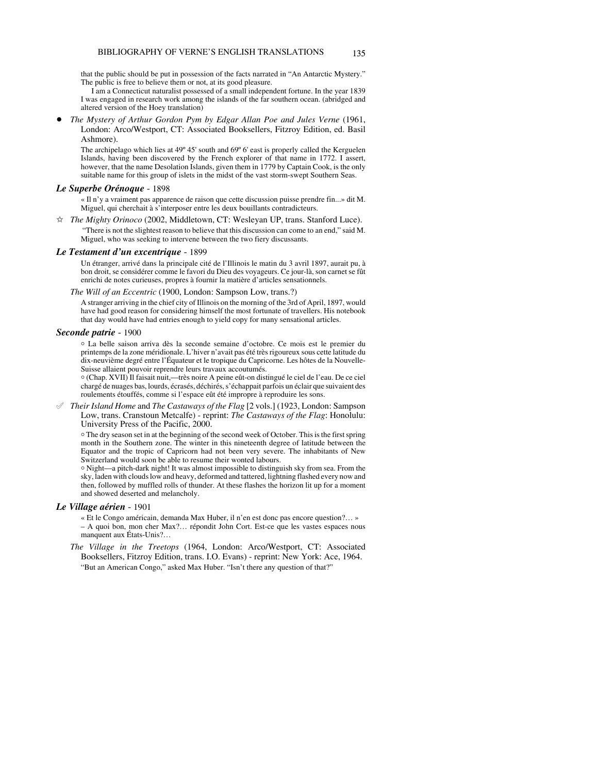that the public should be put in possession of the facts narrated in "An Antarctic Mystery." The public is free to believe them or not, at its good pleasure.

I am a Connecticut naturalist possessed of a small independent fortune. In the year 1839 I was engaged in research work among the islands of the far southern ocean. (abridged and altered version of the Hoey translation)

! *The Mystery of Arthur Gordon Pym by Edgar Allan Poe and Jules Verne* (1961, London: Arco/Westport, CT: Associated Booksellers, Fitzroy Edition, ed. Basil Ashmore).

The archipelago which lies at 49º 45' south and 69º 6' east is properly called the Kerguelen Islands, having been discovered by the French explorer of that name in 1772. I assert, however, that the name Desolation Islands, given them in 1779 by Captain Cook, is the only suitable name for this group of islets in the midst of the vast storm-swept Southern Seas.

#### *Le Superbe Orénoque* - 1898

« Il n'y a vraiment pas apparence de raison que cette discussion puisse prendre fin...» dit M. Miguel, qui cherchait à s'interposer entre les deux bouillants contradicteurs.

 $\hat{\varphi}$  *The Mighty Orinoco* (2002, Middletown, CT: Wesleyan UP, trans. Stanford Luce). "There is not the slightest reason to believe that this discussion can come to an end," said M. Miguel, who was seeking to intervene between the two fiery discussants.

## *Le Testament d'un excentrique* - 1899

Un étranger, arrivé dans la principale cité de l'Illinois le matin du 3 avril 1897, aurait pu, à bon droit, se considérer comme le favori du Dieu des voyageurs. Ce jour-là, son carnet se fût enrichi de notes curieuses, propres à fournir la matière d'articles sensationnels.

*The Will of an Eccentric* (1900, London: Sampson Low, trans.?)

A stranger arriving in the chief city of Illinois on the morning of the 3rd of April, 1897, would have had good reason for considering himself the most fortunate of travellers. His notebook that day would have had entries enough to yield copy for many sensational articles.

## *Seconde patrie* - 1900

N La belle saison arriva dès la seconde semaine d'octobre. Ce mois est le premier du printemps de la zone méridionale. L'hiver n'avait pas été très rigoureux sous cette latitude du dix-neuvième degré entre l'Équateur et le tropique du Capricorne. Les hôtes de la Nouvelle-Suisse allaient pouvoir reprendre leurs travaux accoutumés.

N (Chap. XVII) Il faisait nuit,—très noire A peine eût-on distingué le ciel de l'eau. De ce ciel chargé de nuages bas, lourds, écrasés, déchirés, s'échappait parfois un éclair que suivaient des roulements étouffés, comme si l'espace eût été impropre à reproduire les sons.

° *Their Island Home* and *The Castaways of the Flag* [2 vols.] (1923, London: Sampson Low, trans. Cranstoun Metcalfe) - reprint: *The Castaways of the Flag*: Honolulu: University Press of the Pacific, 2000.

N The dry season set in at the beginning of the second week of October. This is the first spring month in the Southern zone. The winter in this nineteenth degree of latitude between the Equator and the tropic of Capricorn had not been very severe. The inhabitants of New Switzerland would soon be able to resume their wonted labours.

 $\circ$  Night—a pitch-dark night! It was almost impossible to distinguish sky from sea. From the sky, laden with clouds low and heavy, deformed and tattered, lightning flashed every now and then, followed by muffled rolls of thunder. At these flashes the horizon lit up for a moment and showed deserted and melancholy.

## *Le Village aérien* - 1901

« Et le Congo américain, demanda Max Huber, il n'en est donc pas encore question?… »

- A quoi bon, mon cher Max?… répondit John Cort. Est-ce que les vastes espaces nous manquent aux États-Unis?…
- *The Village in the Treetops* (1964, London: Arco/Westport, CT: Associated Booksellers, Fitzroy Edition, trans. I.O. Evans) - reprint: New York: Ace, 1964. "But an American Congo," asked Max Huber. "Isn't there any question of that?"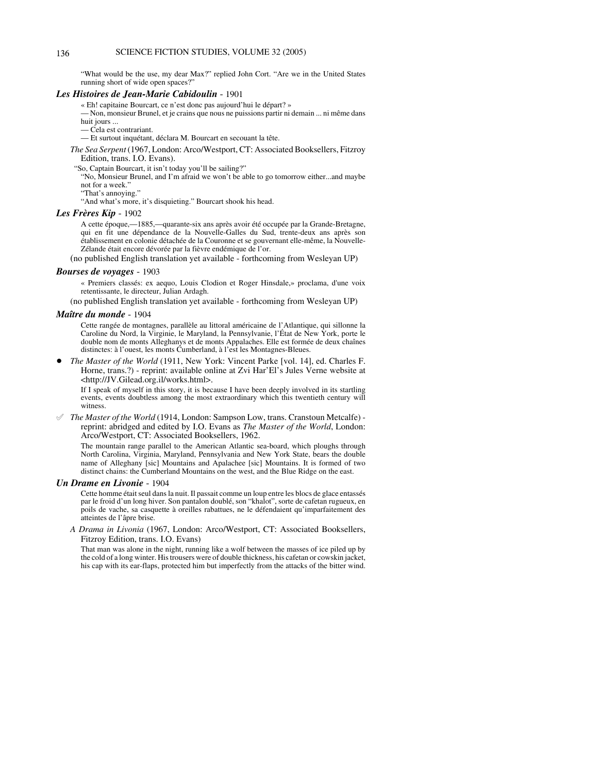"What would be the use, my dear Max?" replied John Cort. "Are we in the United States running short of wide open spaces?"

#### *Les Histoires de Jean-Marie Cabidoulin* - 1901

« Eh! capitaine Bourcart, ce n'est donc pas aujourd'hui le départ? »

— Non, monsieur Brunel, et je crains que nous ne puissions partir ni demain ... ni même dans huit jours ...

— Cela est contrariant.

— Et surtout inquétant, déclara M. Bourcart en secouant la tête.

*The Sea Serpent* (1967, London: Arco/Westport, CT: Associated Booksellers, Fitzroy Edition, trans. I.O. Evans).

"So, Captain Bourcart, it isn't today you'll be sailing?"

"No, Monsieur Brunel, and I'm afraid we won't be able to go tomorrow either...and maybe not for a week."

"That's annoying."

"And what's more, it's disquieting." Bourcart shook his head.

# *Les Frères Kip* - 1902

A cette époque,—1885,—quarante-six ans après avoir été occupée par la Grande-Bretagne, qui en fit une dépendance de la Nouvelle-Galles du Sud, trente-deux ans après son établissement en colonie détachée de la Couronne et se gouvernant elle-même, la Nouvelle-Zélande était encore dévorée par la fièvre endémique de l'or.

(no published English translation yet available - forthcoming from Wesleyan UP)

# *Bourses de voyages* - 1903

« Premiers classés: ex aequo, Louis Clodion et Roger Hinsdale,» proclama, d'une voix retentissante, le directeur, Julian Ardagh.

(no published English translation yet available - forthcoming from Wesleyan UP)

#### *Maître du monde* - 1904

Cette rangée de montagnes, parallèle au littoral américaine de l'Atlantique, qui sillonne la Caroline du Nord, la Virginie, le Maryland, la Pennsylvanie, l'État de New York, porte le double nom de monts Alleghanys et de monts Appalaches. Elle est formée de deux chaînes distinctes: à l'ouest, les monts Cumberland, à l'est les Montagnes-Bleues.

! *The Master of the World* (1911, New York: Vincent Parke [vol. 14], ed. Charles F. Horne, trans.?) - reprint: available online at Zvi Har'El's Jules Verne website at <http://JV.Gilead.org.il/works.html>.

If I speak of myself in this story, it is because I have been deeply involved in its startling events, events doubtless among the most extraordinary which this twentieth century will witness.

° *The Master of the World* (1914, London: Sampson Low, trans. Cranstoun Metcalfe) reprint: abridged and edited by I.O. Evans as *The Master of the World*, London: Arco/Westport, CT: Associated Booksellers, 1962.

The mountain range parallel to the American Atlantic sea-board, which ploughs through North Carolina, Virginia, Maryland, Pennsylvania and New York State, bears the double name of Alleghany [sic] Mountains and Apalachee [sic] Mountains. It is formed of two distinct chains: the Cumberland Mountains on the west, and the Blue Ridge on the east.

## *Un Drame en Livonie* - 1904

Cette homme était seul dans la nuit. Il passait comme un loup entre les blocs de glace entassés par le froid d'un long hiver. Son pantalon doublé, son "khalot", sorte de cafetan rugueux, en poils de vache, sa casquette à oreilles rabattues, ne le défendaient qu'imparfaitement des atteintes de l'âpre brise.

*A Drama in Livonia* (1967, London: Arco/Westport, CT: Associated Booksellers, Fitzroy Edition, trans. I.O. Evans)

That man was alone in the night, running like a wolf between the masses of ice piled up by the cold of a long winter. His trousers were of double thickness, his cafetan or cowskin jacket, his cap with its ear-flaps, protected him but imperfectly from the attacks of the bitter wind.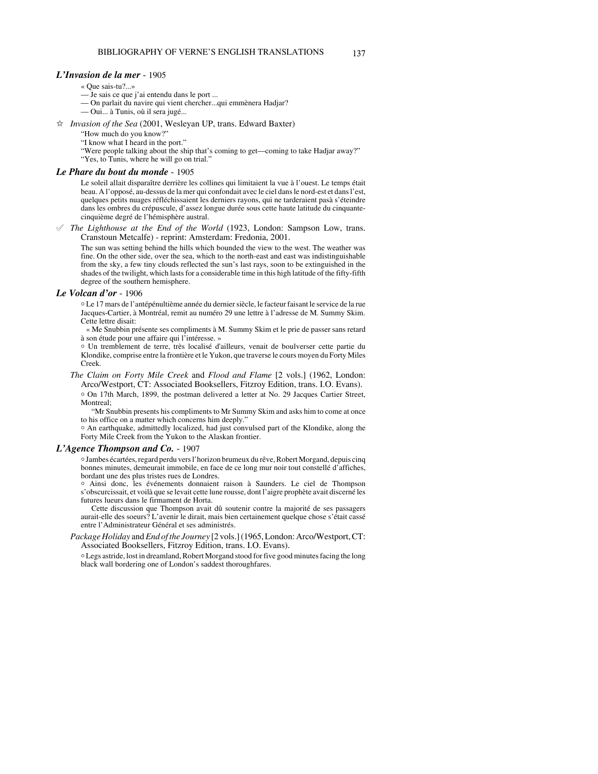# *L'Invasion de la mer* - 1905

- « Que sais-tu?...»
- Je sais ce que j'ai entendu dans le port ...
- On parlait du navire qui vient chercher...qui emmènera Hadjar?
- Oui... à Tunis, où il sera jugé...

 $\hat{x}$  *Invasion of the Sea* (2001, Wesleyan UP, trans. Edward Baxter)

"How much do you know?"

"I know what I heard in the port."

"Were people talking about the ship that's coming to get—coming to take Hadjar away?"

"Yes, to Tunis, where he will go on trial."

#### *Le Phare du bout du monde* - 1905

Le soleil allait disparaître derrière les collines qui limitaient la vue à l'ouest. Le temps était beau. A l'opposé, au-dessus de la mer qui confondait avec le ciel dans le nord-est et dans l'est, quelques petits nuages réfléchissaient les derniers rayons, qui ne tarderaient pasà s'éteindre dans les ombres du crépuscule, d'assez longue durée sous cette haute latitude du cinquantecinquième degré de l'hémisphère austral.

 $\mathscr I$  *The Lighthouse at the End of the World* (1923, London: Sampson Low, trans. Cranstoun Metcalfe) - reprint: Amsterdam: Fredonia, 2001.

The sun was setting behind the hills which bounded the view to the west. The weather was fine. On the other side, over the sea, which to the north-east and east was indistinguishable from the sky, a few tiny clouds reflected the sun's last rays, soon to be extinguished in the shades of the twilight, which lasts for a considerable time in this high latitude of the fifty-fifth degree of the southern hemisphere.

#### *Le Volcan d'or* - 1906

N Le 17 mars de l'antépénultième année du dernier siècle, le facteur faisant le service de la rue Jacques-Cartier, à Montréal, remit au numéro 29 une lettre à l'adresse de M. Summy Skim. Cette lettre disait:

 « Me Snubbin présente ses compliments à M. Summy Skim et le prie de passer sans retard à son étude pour une affaire qui l'intéresse. »

N Un tremblement de terre, très localisé d'ailleurs, venait de boulverser cette partie du Klondike, comprise entre la frontière et le Yukon, que traverse le cours moyen du Forty Miles Creek.

# *The Claim on Forty Mile Creek* and *Flood and Flame* [2 vols.] (1962, London: Arco/Westport, CT: Associated Booksellers, Fitzroy Edition, trans. I.O. Evans).

o On 17th March, 1899, the postman delivered a letter at No. 29 Jacques Cartier Street, Montreal;

"Mr Snubbin presents his compliments to Mr Summy Skim and asks him to come at once to his office on a matter which concerns him deeply."

<sup>o</sup> An earthquake, admittedly localized, had just convulsed part of the Klondike, along the Forty Mile Creek from the Yukon to the Alaskan frontier.

#### *L'Agence Thompson and Co.* - 1907

N Jambes écartées, regard perdu vers l'horizon brumeux du rêve, Robert Morgand, depuis cinq bonnes minutes, demeurait immobile, en face de ce long mur noir tout constellé d'affiches, bordant une des plus tristes rues de Londres.

N Ainsi donc, les événements donnaient raison à Saunders. Le ciel de Thompson s'obscurcissait, et voilà que se levait cette lune rousse, dont l'aigre prophète avait discerné les futures lueurs dans le firmament de Horta.

Cette discussion que Thompson avait dû soutenir contre la majorité de ses passagers aurait-elle des soeurs? L'avenir le dirait, mais bien certainement quelque chose s'était cassé entre l'Administrateur Général et ses administrés.

*Package Holiday* and *End of the Journey* [2 vols.] (1965, London: Arco/Westport, CT: Associated Booksellers, Fitzroy Edition, trans. I.O. Evans).

N Legs astride, lost in dreamland, Robert Morgand stood for five good minutes facing the long black wall bordering one of London's saddest thoroughfares.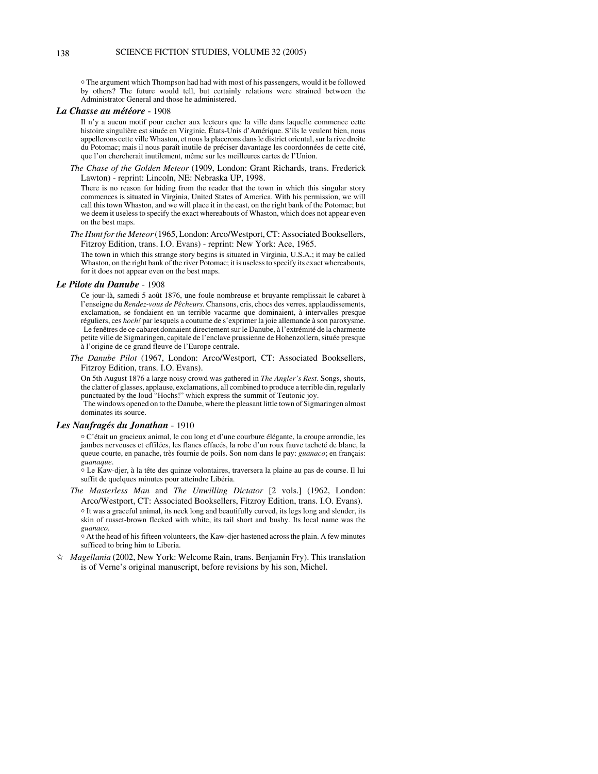$\circ$  The argument which Thompson had had with most of his passengers, would it be followed by others? The future would tell, but certainly relations were strained between the Administrator General and those he administered.

# *La Chasse au météore* - 1908

Il n'y a aucun motif pour cacher aux lecteurs que la ville dans laquelle commence cette histoire singulière est située en Virginie, États-Unis d'Amérique. S'ils le veulent bien, nous appellerons cette ville Whaston, et nous la placerons dans le district oriental, sur la rive droite du Potomac; mais il nous paraît inutile de préciser davantage les coordonnées de cette cité, que l'on chercherait inutilement, même sur les meilleures cartes de l'Union.

*The Chase of the Golden Meteor* (1909, London: Grant Richards, trans. Frederick Lawton) - reprint: Lincoln, NE: Nebraska UP, 1998.

There is no reason for hiding from the reader that the town in which this singular story commences is situated in Virginia, United States of America. With his permission, we will call this town Whaston, and we will place it in the east, on the right bank of the Potomac; but we deem it useless to specify the exact whereabouts of Whaston, which does not appear even on the best maps.

*The Hunt for the Meteor* (1965, London: Arco/Westport, CT: Associated Booksellers, Fitzroy Edition, trans. I.O. Evans) - reprint: New York: Ace, 1965.

The town in which this strange story begins is situated in Virginia, U.S.A.; it may be called Whaston, on the right bank of the river Potomac; it is useless to specify its exact whereabouts, for it does not appear even on the best maps.

#### *Le Pilote du Danube* - 1908

Ce jour-là, samedi 5 août 1876, une foule nombreuse et bruyante remplissait le cabaret à l'enseigne du *Rendez-vous de Pêcheurs*. Chansons, cris, chocs des verres, applaudissements, exclamation, se fondaient en un terrible vacarme que dominaient, à intervalles presque réguliers, ces *hoch!* par lesquels a coutume de s'exprimer la joie allemande à son paroxysme. Le fenêtres de ce cabaret donnaient directement sur le Danube, à l'extrémité de la charmente petite ville de Sigmaringen, capitale de l'enclave prussienne de Hohenzollern, située presque à l'origine de ce grand fleuve de l'Europe centrale.

*The Danube Pilot* (1967, London: Arco/Westport, CT: Associated Booksellers, Fitzroy Edition, trans. I.O. Evans).

On 5th August 1876 a large noisy crowd was gathered in *The Angler's Rest*. Songs, shouts, the clatter of glasses, applause, exclamations, all combined to produce a terrible din, regularly punctuated by the loud "Hochs!" which express the summit of Teutonic joy.

 The windows opened on to the Danube, where the pleasant little town of Sigmaringen almost dominates its source.

### *Les Naufragés du Jonathan* - 1910

N C'était un gracieux animal, le cou long et d'une courbure élégante, la croupe arrondie, les jambes nerveuses et effilées, les flancs effacés, la robe d'un roux fauve tacheté de blanc, la queue courte, en panache, très fournie de poils. Son nom dans le pay: *guanaco*; en français: *guanaque*.

 $\circ$  Le Kaw-djer, à la tête des quinze volontaires, traversera la plaine au pas de course. Il lui suffit de quelques minutes pour atteindre Libéria.

*The Masterless Man* and *The Unwilling Dictator* [2 vols.] (1962, London: Arco/Westport, CT: Associated Booksellers, Fitzroy Edition, trans. I.O. Evans).

o It was a graceful animal, its neck long and beautifully curved, its legs long and slender, its skin of russet-brown flecked with white, its tail short and bushy. Its local name was the *guanaco.*

 $\circ$  At the head of his fifteen volunteers, the Kaw-djer hastened across the plain. A few minutes sufficed to bring him to Liberia.

*<del>☆</del> Magellania* (2002, New York: Welcome Rain, trans. Benjamin Fry). This translation is of Verne's original manuscript, before revisions by his son, Michel.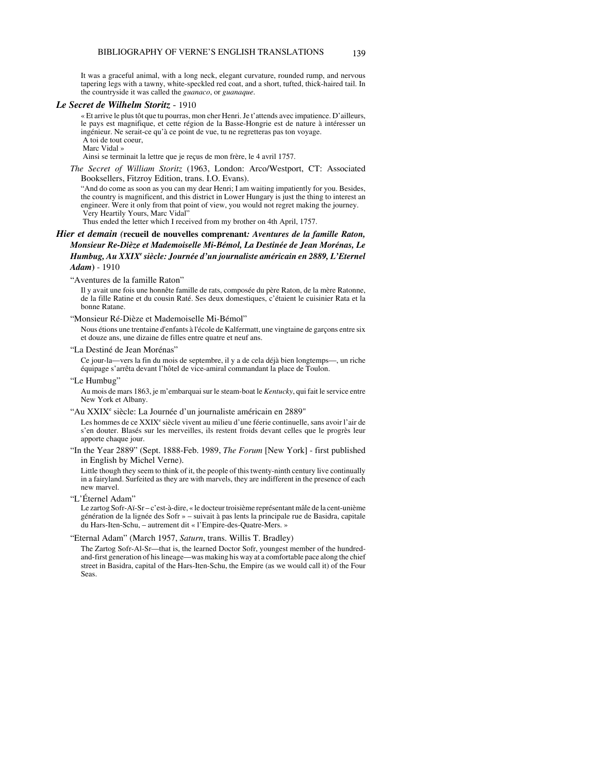It was a graceful animal, with a long neck, elegant curvature, rounded rump, and nervous tapering legs with a tawny, white-speckled red coat, and a short, tufted, thick-haired tail. In the countryside it was called the *guanaco*, or *guanaque*.

#### *Le Secret de Wilhelm Storitz* - 1910

« Et arrive le plus tôt que tu pourras, mon cher Henri. Je t'attends avec impatience. D'ailleurs, le pays est magnifique, et cette région de la Basse-Hongrie est de nature à intéresser un ingénieur. Ne serait-ce qu'à ce point de vue, tu ne regretteras pas ton voyage. A toi de tout coeur,

Marc Vidal »

Ainsi se terminait la lettre que je reçus de mon frère, le 4 avril 1757.

*The Secret of William Storitz* (1963, London: Arco/Westport, CT: Associated Booksellers, Fitzroy Edition, trans. I.O. Evans).

"And do come as soon as you can my dear Henri; I am waiting impatiently for you. Besides, the country is magnificent, and this district in Lower Hungary is just the thing to interest an engineer. Were it only from that point of view, you would not regret making the journey. Very Heartily Yours, Marc Vidal"

Thus ended the letter which I received from my brother on 4th April, 1757.

# *Hier et demain (***recueil de nouvelles comprenant***: Aventures de la famille Raton, Monsieur Re-Dièze et Mademoiselle Mi-Bémol, La Destinée de Jean Morénas, Le Humbug, Au XXIXe siècle: Journée d'un journaliste américain en 2889, L'Eternel Adam***)** - 1910

"Aventures de la famille Raton"

Il y avait une fois une honnête famille de rats, composée du père Raton, de la mère Ratonne, de la fille Ratine et du cousin Raté. Ses deux domestiques, c'étaient le cuisinier Rata et la bonne Ratane.

"Monsieur Ré-Dièze et Mademoiselle Mi-Bémol"

Nous étions une trentaine d'enfants à l'école de Kalfermatt, une vingtaine de garçons entre six et douze ans, une dizaine de filles entre quatre et neuf ans.

"La Destiné de Jean Morénas"

Ce jour-la—vers la fin du mois de septembre, il y a de cela déjà bien longtemps—, un riche équipage s'arrêta devant l'hôtel de vice-amiral commandant la place de Toulon.

"Le Humbug"

Au mois de mars 1863, je m'embarquai sur le steam-boat le *Kentucky*, qui fait le service entre New York et Albany.

"Au XXIX<sup>e</sup> siècle: La Journée d'un journaliste américain en 2889"

Les hommes de ce XXIX<sup>e</sup> siècle vivent au milieu d'une féerie continuelle, sans avoir l'air de s'en douter. Blasés sur les merveilles, ils restent froids devant celles que le progrès leur apporte chaque jour.

"In the Year 2889" (Sept. 1888-Feb. 1989, *The Forum* [New York] - first published in English by Michel Verne).

Little though they seem to think of it, the people of this twenty-ninth century live continually in a fairyland. Surfeited as they are with marvels, they are indifferent in the presence of each new marvel.

"L'Éternel Adam"

Le zartog Sofr-Aï-Sr – c'est-à-dire, « le docteur troisième représentant mâle de la cent-unième génération de la lignée des Sofr » – suivait à pas lents la principale rue de Basidra, capitale du Hars-Iten-Schu, – autrement dit « l'Empire-des-Quatre-Mers. »

"Eternal Adam" (March 1957, *Saturn*, trans. Willis T. Bradley)

The Zartog Sofr-Al-Sr—that is, the learned Doctor Sofr, youngest member of the hundredand-first generation of his lineage—was making his way at a comfortable pace along the chief street in Basidra, capital of the Hars-Iten-Schu, the Empire (as we would call it) of the Four Seas.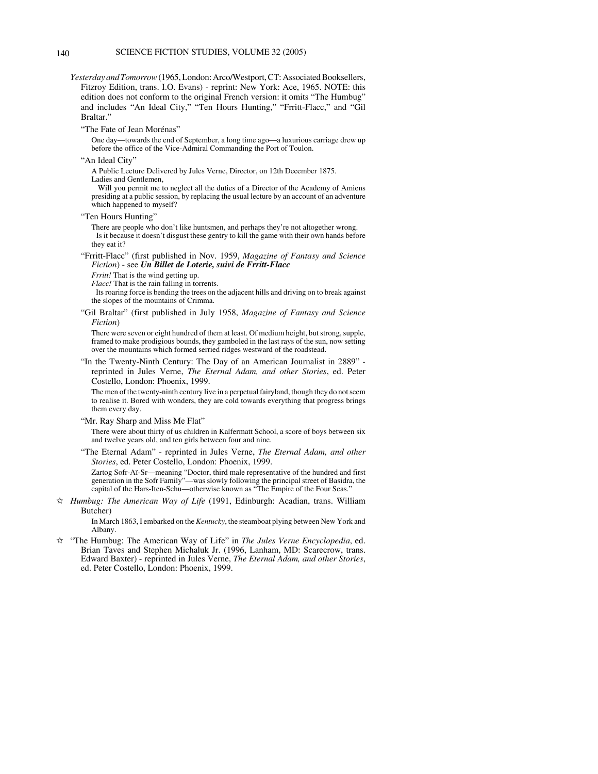- *Yesterday and Tomorrow* (1965, London: Arco/Westport, CT: Associated Booksellers, Fitzroy Edition, trans. I.O. Evans) - reprint: New York: Ace, 1965. NOTE: this edition does not conform to the original French version: it omits "The Humbug" and includes "An Ideal City," "Ten Hours Hunting," "Frritt-Flacc," and "Gil Braltar."
	- "The Fate of Jean Morénas"

One day—towards the end of September, a long time ago—a luxurious carriage drew up before the office of the Vice-Admiral Commanding the Port of Toulon.

"An Ideal City"

A Public Lecture Delivered by Jules Verne, Director, on 12th December 1875. Ladies and Gentlemen,

 Will you permit me to neglect all the duties of a Director of the Academy of Amiens presiding at a public session, by replacing the usual lecture by an account of an adventure which happened to myself?

"Ten Hours Hunting"

There are people who don't like huntsmen, and perhaps they're not altogether wrong. Is it because it doesn't disgust these gentry to kill the game with their own hands before they eat it?

## "Frritt-Flacc" (first published in Nov. 1959, *Magazine of Fantasy and Science Fiction*) - see *Un Billet de Loterie, suivi de Frritt-Flacc*

*Frritt!* That is the wind getting up.

*Flacc!* That is the rain falling in torrents.

 Its roaring force is bending the trees on the adjacent hills and driving on to break against the slopes of the mountains of Crimma.

"Gil Braltar" (first published in July 1958, *Magazine of Fantasy and Science Fiction*)

There were seven or eight hundred of them at least. Of medium height, but strong, supple, framed to make prodigious bounds, they gamboled in the last rays of the sun, now setting over the mountains which formed serried ridges westward of the roadstead.

"In the Twenty-Ninth Century: The Day of an American Journalist in 2889" reprinted in Jules Verne, *The Eternal Adam, and other Stories*, ed. Peter Costello, London: Phoenix, 1999.

The men of the twenty-ninth century live in a perpetual fairyland, though they do not seem to realise it. Bored with wonders, they are cold towards everything that progress brings them every day.

"Mr. Ray Sharp and Miss Me Flat"

There were about thirty of us children in Kalfermatt School, a score of boys between six and twelve years old, and ten girls between four and nine.

"The Eternal Adam" - reprinted in Jules Verne, *The Eternal Adam, and other Stories*, ed. Peter Costello, London: Phoenix, 1999.

Zartog Sofr-Aï-Sr—meaning "Doctor, third male representative of the hundred and first generation in the Sofr Family"—was slowly following the principal street of Basidra, the capital of the Hars-Iten-Schu—otherwise known as "The Empire of the Four Seas."

 $\dot{\varphi}$  *Humbug: The American Way of Life* (1991, Edinburgh: Acadian, trans. William Butcher)

> In March 1863, I embarked on the *Kentucky*, the steamboat plying between New York and Albany.

 $\hat{\mathbb{X}}$  "The Humbug: The American Way of Life" in *The Jules Verne Encyclopedia*, ed. Brian Taves and Stephen Michaluk Jr. (1996, Lanham, MD: Scarecrow, trans. Edward Baxter) - reprinted in Jules Verne, *The Eternal Adam, and other Stories*, ed. Peter Costello, London: Phoenix, 1999.